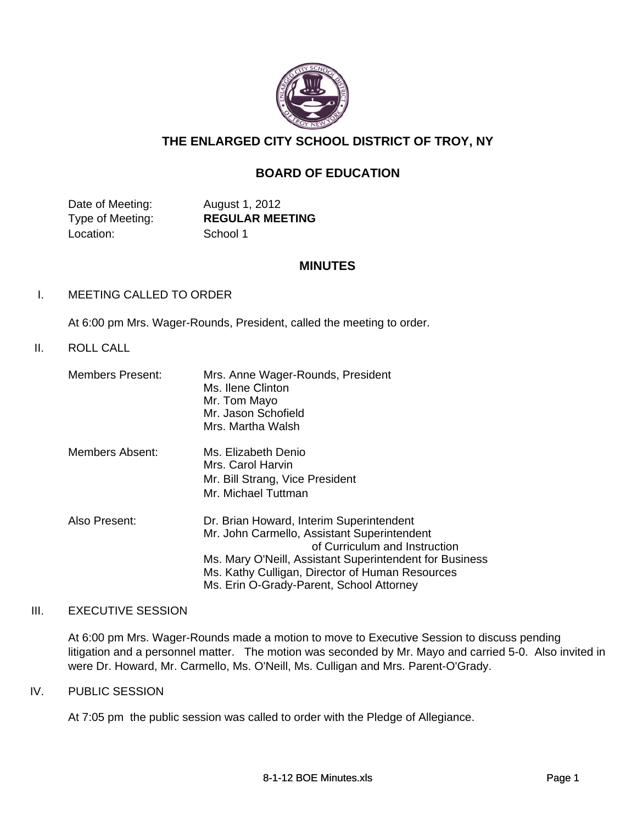

# **THE ENLARGED CITY SCHOOL DISTRICT OF TROY, NY**

## **BOARD OF EDUCATION**

Date of Meeting: August 1, 2012 Location: School 1

Type of Meeting: **REGULAR MEETING**

### **MINUTES**

### I. MEETING CALLED TO ORDER

At 6:00 pm Mrs. Wager-Rounds, President, called the meeting to order.

#### II. ROLL CALL

| <b>Members Present:</b> | Mrs. Anne Wager-Rounds, President<br>Ms. Ilene Clinton<br>Mr. Tom Mayo<br>Mr. Jason Schofield<br>Mrs. Martha Walsh                                                                                                                                                                 |
|-------------------------|------------------------------------------------------------------------------------------------------------------------------------------------------------------------------------------------------------------------------------------------------------------------------------|
| Members Absent:         | Ms. Elizabeth Denio<br>Mrs. Carol Harvin<br>Mr. Bill Strang, Vice President<br>Mr. Michael Tuttman                                                                                                                                                                                 |
| Also Present:           | Dr. Brian Howard, Interim Superintendent<br>Mr. John Carmello, Assistant Superintendent<br>of Curriculum and Instruction<br>Ms. Mary O'Neill, Assistant Superintendent for Business<br>Ms. Kathy Culligan, Director of Human Resources<br>Ms. Erin O-Grady-Parent, School Attorney |

#### III. EXECUTIVE SESSION

At 6:00 pm Mrs. Wager-Rounds made a motion to move to Executive Session to discuss pending litigation and a personnel matter. The motion was seconded by Mr. Mayo and carried 5-0. Also invited in were Dr. Howard, Mr. Carmello, Ms. O'Neill, Ms. Culligan and Mrs. Parent-O'Grady.

### IV. PUBLIC SESSION

At 7:05 pm the public session was called to order with the Pledge of Allegiance.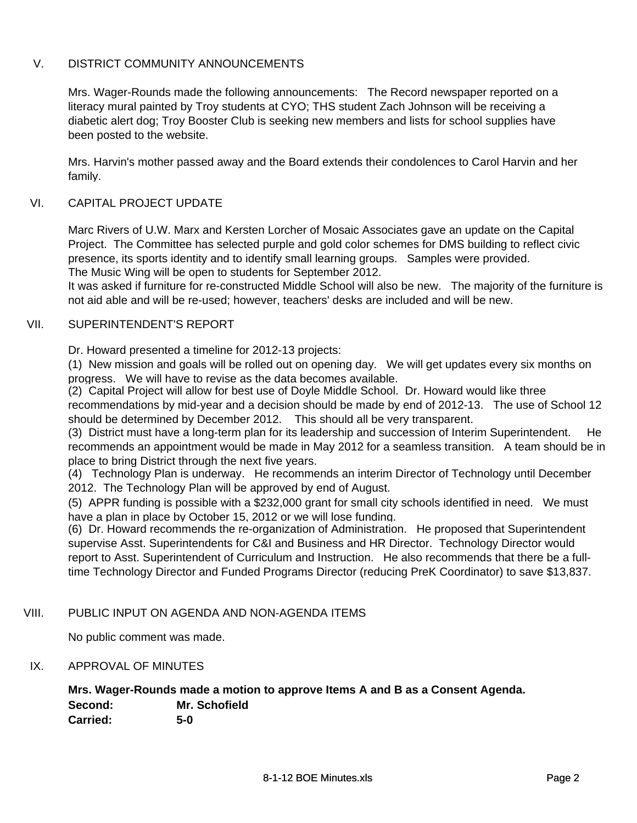## V. DISTRICT COMMUNITY ANNOUNCEMENTS

Mrs. Wager-Rounds made the following announcements: The Record newspaper reported on a literacy mural painted by Troy students at CYO; THS student Zach Johnson will be receiving a diabetic alert dog; Troy Booster Club is seeking new members and lists for school supplies have been posted to the website.

Mrs. Harvin's mother passed away and the Board extends their condolences to Carol Harvin and her family.

### VI. CAPITAL PROJECT UPDATE

Marc Rivers of U.W. Marx and Kersten Lorcher of Mosaic Associates gave an update on the Capital Project. The Committee has selected purple and gold color schemes for DMS building to reflect civic presence, its sports identity and to identify small learning groups. Samples were provided. The Music Wing will be open to students for September 2012.

It was asked if furniture for re-constructed Middle School will also be new. The majority of the furniture is not aid able and will be re-used; however, teachers' desks are included and will be new.

#### VII. SUPERINTENDENT'S REPORT

Dr. Howard presented a timeline for 2012-13 projects:

(1) New mission and goals will be rolled out on opening day. We will get updates every six months on progress. We will have to revise as the data becomes available.

(2) Capital Project will allow for best use of Doyle Middle School. Dr. Howard would like three recommendations by mid-year and a decision should be made by end of 2012-13. The use of School 12 should be determined by December 2012. This should all be very transparent.

(3) District must have a long-term plan for its leadership and succession of Interim Superintendent. He recommends an appointment would be made in May 2012 for a seamless transition. A team should be in place to bring District through the next five years.

(4) Technology Plan is underway. He recommends an interim Director of Technology until December 2012. The Technology Plan will be approved by end of August.

(5) APPR funding is possible with a \$232,000 grant for small city schools identified in need. We must have a plan in place by October 15, 2012 or we will lose funding.

(6) Dr. Howard recommends the re-organization of Administration. He proposed that Superintendent supervise Asst. Superintendents for C&I and Business and HR Director. Technology Director would report to Asst. Superintendent of Curriculum and Instruction. He also recommends that there be a fulltime Technology Director and Funded Programs Director (reducing PreK Coordinator) to save \$13,837.

### VIII. PUBLIC INPUT ON AGENDA AND NON-AGENDA ITEMS

No public comment was made.

### IX. APPROVAL OF MINUTES

**Mrs. Wager-Rounds made a motion to approve Items A and B as a Consent Agenda. Second: Mr. Schofield Carried: 5-0**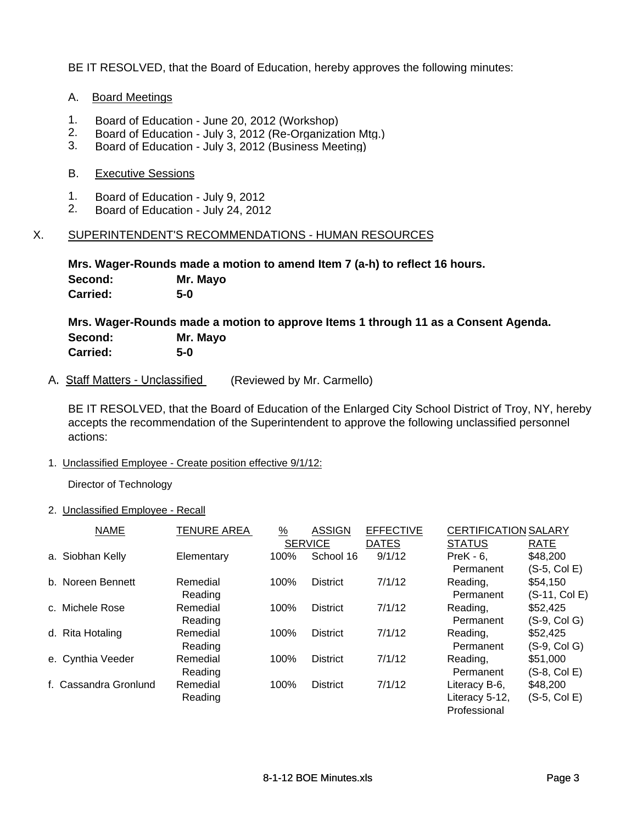BE IT RESOLVED, that the Board of Education, hereby approves the following minutes:

#### A. Board Meetings

- 1. Board of Education June 20, 2012 (Workshop)<br>2. Board of Education July 3, 2012 (Re-Organizat
- Board of Education July 3, 2012 (Re-Organization Mtg.)
- 3. Board of Education July 3, 2012 (Business Meeting)

#### B. Executive Sessions

- 1. Board of Education July 9, 2012<br>2. Board of Education July 24, 2011
- 2. Board of Education July 24, 2012

#### X. SUPERINTENDENT'S RECOMMENDATIONS - HUMAN RESOURCES

**Mrs. Wager-Rounds made a motion to amend Item 7 (a-h) to reflect 16 hours. Second: Mr. Mayo Carried: 5-0**

**Mrs. Wager-Rounds made a motion to approve Items 1 through 11 as a Consent Agenda. Second: Mr. Mayo Carried: 5-0**

A. Staff Matters - Unclassified (Reviewed by Mr. Carmello)

BE IT RESOLVED, that the Board of Education of the Enlarged City School District of Troy, NY, hereby accepts the recommendation of the Superintendent to approve the following unclassified personnel actions:

1. Unclassified Employee - Create position effective 9/1/12:

Director of Technology

#### 2. Unclassified Employee - Recall

| <b>NAME</b>           | <b>TENURE AREA</b> | $\frac{9}{6}$  | <b>ASSIGN</b>   | <b>EFFECTIVE</b> | <b>CERTIFICATION SALARY</b> |               |
|-----------------------|--------------------|----------------|-----------------|------------------|-----------------------------|---------------|
|                       |                    | <b>SERVICE</b> |                 | <b>DATES</b>     | <b>STATUS</b>               | RATE          |
| a. Siobhan Kelly      | Elementary         | 100%           | School 16       | 9/1/12           | $PreK - 6$ .                | \$48,200      |
|                       |                    |                |                 |                  | Permanent                   | (S-5, Col E)  |
| b. Noreen Bennett     | Remedial           | 100%           | <b>District</b> | 7/1/12           | Reading,                    | \$54,150      |
|                       | Reading            |                |                 |                  | Permanent                   | (S-11, Col E) |
| c. Michele Rose       | Remedial           | 100%           | <b>District</b> | 7/1/12           | Reading,                    | \$52,425      |
|                       | Reading            |                |                 |                  | Permanent                   | (S-9, Col G)  |
| d. Rita Hotaling      | Remedial           | 100%           | <b>District</b> | 7/1/12           | Reading,                    | \$52,425      |
|                       | Reading            |                |                 |                  | Permanent                   | (S-9, Col G)  |
| e. Cynthia Veeder     | Remedial           | 100%           | <b>District</b> | 7/1/12           | Reading,                    | \$51,000      |
|                       | Reading            |                |                 |                  | Permanent                   | (S-8, Col E)  |
| f. Cassandra Gronlund | Remedial           | 100%           | <b>District</b> | 7/1/12           | Literacy B-6,               | \$48,200      |
|                       | Reading            |                |                 |                  | Literacy 5-12,              | (S-5, Col E)  |
|                       |                    |                |                 |                  | Professional                |               |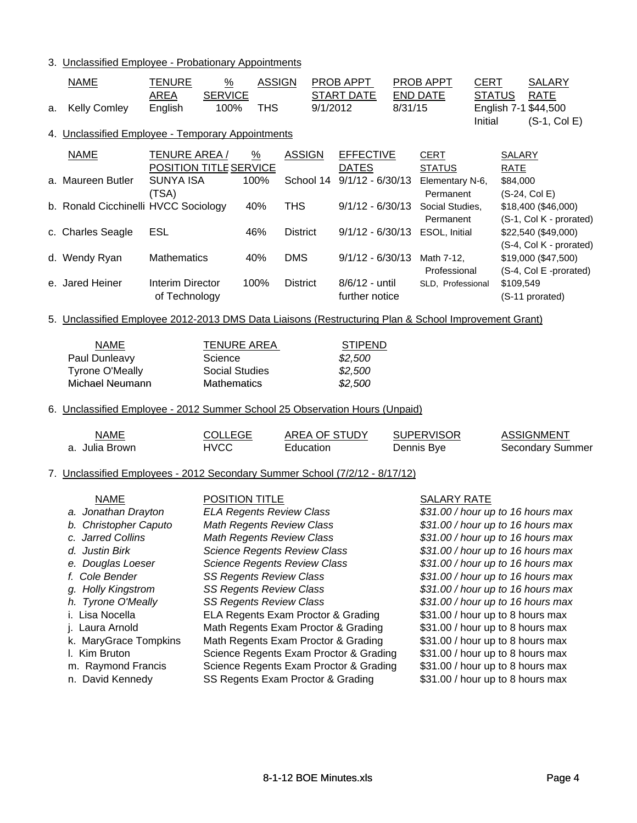#### 3. Unclassified Employee - Probationary Appointments

| <b>THS</b><br>English 7-1 \$44,500<br><b>Kelly Comley</b><br>English<br>100%<br>9/1/2012<br>8/31/15<br>a.<br>Initial<br>$(S-1, Col E)$<br>4. Unclassified Employee - Temporary Appointments<br>TENURE AREA /<br>$\frac{9}{6}$<br><b>ASSIGN</b><br><b>EFFECTIVE</b><br><b>NAME</b><br><b>CERT</b><br><b>SALARY</b><br><b>POSITION TITLE SERVICE</b><br><b>DATES</b><br><b>RATE</b><br><b>STATUS</b><br><b>SUNYA ISA</b><br>School 14<br>$9/1/12 - 6/30/13$<br>100%<br>a. Maureen Butler<br>Elementary N-6,<br>\$84,000<br>(TSA)<br>Permanent<br>(S-24, Col E)<br>b. Ronald Cicchinelli HVCC Sociology<br><b>THS</b><br>40%<br>$9/1/12 - 6/30/13$<br>Social Studies,<br>\$18,400 (\$46,000)<br>Permanent<br>(S-1, Col K - prorated)<br>c. Charles Seagle<br>ESL<br>46%<br><b>District</b><br>9/1/12 - 6/30/13 ESOL, Initial<br>\$22,540 (\$49,000)<br>(S-4, Col K - prorated)<br><b>DMS</b><br>$9/1/12 - 6/30/13$<br>Mathematics<br>40%<br>d. Wendy Ryan<br>Math 7-12,<br>\$19,000 (\$47,500)<br>Professional<br>(S-4, Col E -prorated)<br>e. Jared Heiner<br>100%<br>8/6/12 - until<br>Interim Director<br><b>District</b><br>\$109,549<br>SLD, Professional<br>of Technology<br>further notice<br>(S-11 prorated) |  |  |  |  |  |  |  |  |  |
|-------------------------------------------------------------------------------------------------------------------------------------------------------------------------------------------------------------------------------------------------------------------------------------------------------------------------------------------------------------------------------------------------------------------------------------------------------------------------------------------------------------------------------------------------------------------------------------------------------------------------------------------------------------------------------------------------------------------------------------------------------------------------------------------------------------------------------------------------------------------------------------------------------------------------------------------------------------------------------------------------------------------------------------------------------------------------------------------------------------------------------------------------------------------------------------------------------------------|--|--|--|--|--|--|--|--|--|
|                                                                                                                                                                                                                                                                                                                                                                                                                                                                                                                                                                                                                                                                                                                                                                                                                                                                                                                                                                                                                                                                                                                                                                                                                   |  |  |  |  |  |  |  |  |  |
|                                                                                                                                                                                                                                                                                                                                                                                                                                                                                                                                                                                                                                                                                                                                                                                                                                                                                                                                                                                                                                                                                                                                                                                                                   |  |  |  |  |  |  |  |  |  |
|                                                                                                                                                                                                                                                                                                                                                                                                                                                                                                                                                                                                                                                                                                                                                                                                                                                                                                                                                                                                                                                                                                                                                                                                                   |  |  |  |  |  |  |  |  |  |
|                                                                                                                                                                                                                                                                                                                                                                                                                                                                                                                                                                                                                                                                                                                                                                                                                                                                                                                                                                                                                                                                                                                                                                                                                   |  |  |  |  |  |  |  |  |  |
|                                                                                                                                                                                                                                                                                                                                                                                                                                                                                                                                                                                                                                                                                                                                                                                                                                                                                                                                                                                                                                                                                                                                                                                                                   |  |  |  |  |  |  |  |  |  |
|                                                                                                                                                                                                                                                                                                                                                                                                                                                                                                                                                                                                                                                                                                                                                                                                                                                                                                                                                                                                                                                                                                                                                                                                                   |  |  |  |  |  |  |  |  |  |
|                                                                                                                                                                                                                                                                                                                                                                                                                                                                                                                                                                                                                                                                                                                                                                                                                                                                                                                                                                                                                                                                                                                                                                                                                   |  |  |  |  |  |  |  |  |  |
|                                                                                                                                                                                                                                                                                                                                                                                                                                                                                                                                                                                                                                                                                                                                                                                                                                                                                                                                                                                                                                                                                                                                                                                                                   |  |  |  |  |  |  |  |  |  |
| 5. Unclassified Employee 2012-2013 DMS Data Liaisons (Restructuring Plan & School Improvement Grant)                                                                                                                                                                                                                                                                                                                                                                                                                                                                                                                                                                                                                                                                                                                                                                                                                                                                                                                                                                                                                                                                                                              |  |  |  |  |  |  |  |  |  |
| <b>NAME</b><br><b>TENURE AREA</b><br><b>STIPEND</b>                                                                                                                                                                                                                                                                                                                                                                                                                                                                                                                                                                                                                                                                                                                                                                                                                                                                                                                                                                                                                                                                                                                                                               |  |  |  |  |  |  |  |  |  |
| Paul Dunleavy<br>Science<br>\$2,500                                                                                                                                                                                                                                                                                                                                                                                                                                                                                                                                                                                                                                                                                                                                                                                                                                                                                                                                                                                                                                                                                                                                                                               |  |  |  |  |  |  |  |  |  |
| <b>Tyrone O'Meally</b><br><b>Social Studies</b><br>\$2,500                                                                                                                                                                                                                                                                                                                                                                                                                                                                                                                                                                                                                                                                                                                                                                                                                                                                                                                                                                                                                                                                                                                                                        |  |  |  |  |  |  |  |  |  |
| Michael Neumann<br><b>Mathematics</b><br>\$2,500                                                                                                                                                                                                                                                                                                                                                                                                                                                                                                                                                                                                                                                                                                                                                                                                                                                                                                                                                                                                                                                                                                                                                                  |  |  |  |  |  |  |  |  |  |
| 6. Unclassified Employee - 2012 Summer School 25 Observation Hours (Unpaid)                                                                                                                                                                                                                                                                                                                                                                                                                                                                                                                                                                                                                                                                                                                                                                                                                                                                                                                                                                                                                                                                                                                                       |  |  |  |  |  |  |  |  |  |
|                                                                                                                                                                                                                                                                                                                                                                                                                                                                                                                                                                                                                                                                                                                                                                                                                                                                                                                                                                                                                                                                                                                                                                                                                   |  |  |  |  |  |  |  |  |  |
| AREA OF STUDY<br><b>SUPERVISOR</b><br><b>NAME</b><br><b>COLLEGE</b><br><b>ASSIGNMENT</b>                                                                                                                                                                                                                                                                                                                                                                                                                                                                                                                                                                                                                                                                                                                                                                                                                                                                                                                                                                                                                                                                                                                          |  |  |  |  |  |  |  |  |  |
| <b>HVCC</b><br>Secondary Summer<br>a. Julia Brown<br>Education<br>Dennis Bye                                                                                                                                                                                                                                                                                                                                                                                                                                                                                                                                                                                                                                                                                                                                                                                                                                                                                                                                                                                                                                                                                                                                      |  |  |  |  |  |  |  |  |  |
| 7. Unclassified Employees - 2012 Secondary Summer School (7/2/12 - 8/17/12)                                                                                                                                                                                                                                                                                                                                                                                                                                                                                                                                                                                                                                                                                                                                                                                                                                                                                                                                                                                                                                                                                                                                       |  |  |  |  |  |  |  |  |  |
| <b>POSITION TITLE</b><br><b>NAME</b><br><b>SALARY RATE</b>                                                                                                                                                                                                                                                                                                                                                                                                                                                                                                                                                                                                                                                                                                                                                                                                                                                                                                                                                                                                                                                                                                                                                        |  |  |  |  |  |  |  |  |  |
| <b>ELA Regents Review Class</b><br>a. Jonathan Drayton<br>\$31.00 / hour up to 16 hours max                                                                                                                                                                                                                                                                                                                                                                                                                                                                                                                                                                                                                                                                                                                                                                                                                                                                                                                                                                                                                                                                                                                       |  |  |  |  |  |  |  |  |  |
| b. Christopher Caputo<br><b>Math Regents Review Class</b><br>\$31.00 / hour up to 16 hours max                                                                                                                                                                                                                                                                                                                                                                                                                                                                                                                                                                                                                                                                                                                                                                                                                                                                                                                                                                                                                                                                                                                    |  |  |  |  |  |  |  |  |  |
| c. Jarred Collins<br>Math Regents Review Class<br>\$31.00 / hour up to 16 hours max                                                                                                                                                                                                                                                                                                                                                                                                                                                                                                                                                                                                                                                                                                                                                                                                                                                                                                                                                                                                                                                                                                                               |  |  |  |  |  |  |  |  |  |
| d. Justin Birk<br><b>Science Regents Review Class</b><br>\$31.00 / hour up to 16 hours max                                                                                                                                                                                                                                                                                                                                                                                                                                                                                                                                                                                                                                                                                                                                                                                                                                                                                                                                                                                                                                                                                                                        |  |  |  |  |  |  |  |  |  |
| <b>Science Regents Review Class</b><br>\$31.00 / hour up to 16 hours max<br>e. Douglas Loeser                                                                                                                                                                                                                                                                                                                                                                                                                                                                                                                                                                                                                                                                                                                                                                                                                                                                                                                                                                                                                                                                                                                     |  |  |  |  |  |  |  |  |  |
| f. Cole Bender<br><b>SS Regents Review Class</b><br>\$31.00 / hour up to 16 hours max                                                                                                                                                                                                                                                                                                                                                                                                                                                                                                                                                                                                                                                                                                                                                                                                                                                                                                                                                                                                                                                                                                                             |  |  |  |  |  |  |  |  |  |
| g. Holly Kingstrom<br><b>SS Regents Review Class</b><br>\$31.00 / hour up to 16 hours max                                                                                                                                                                                                                                                                                                                                                                                                                                                                                                                                                                                                                                                                                                                                                                                                                                                                                                                                                                                                                                                                                                                         |  |  |  |  |  |  |  |  |  |
| h. Tyrone O'Meally<br><b>SS Regents Review Class</b><br>\$31.00 / hour up to 16 hours max                                                                                                                                                                                                                                                                                                                                                                                                                                                                                                                                                                                                                                                                                                                                                                                                                                                                                                                                                                                                                                                                                                                         |  |  |  |  |  |  |  |  |  |
| Lisa Nocella<br>ELA Regents Exam Proctor & Grading<br>\$31.00 / hour up to 8 hours max<br>Ĺ.                                                                                                                                                                                                                                                                                                                                                                                                                                                                                                                                                                                                                                                                                                                                                                                                                                                                                                                                                                                                                                                                                                                      |  |  |  |  |  |  |  |  |  |
| Laura Arnold<br>Math Regents Exam Proctor & Grading<br>\$31.00 / hour up to 8 hours max<br>j.                                                                                                                                                                                                                                                                                                                                                                                                                                                                                                                                                                                                                                                                                                                                                                                                                                                                                                                                                                                                                                                                                                                     |  |  |  |  |  |  |  |  |  |
| k. MaryGrace Tompkins<br>Math Regents Exam Proctor & Grading<br>\$31.00 / hour up to 8 hours max                                                                                                                                                                                                                                                                                                                                                                                                                                                                                                                                                                                                                                                                                                                                                                                                                                                                                                                                                                                                                                                                                                                  |  |  |  |  |  |  |  |  |  |
| I. Kim Bruton<br>Science Regents Exam Proctor & Grading<br>\$31.00 / hour up to 8 hours max<br>m. Raymond Francis                                                                                                                                                                                                                                                                                                                                                                                                                                                                                                                                                                                                                                                                                                                                                                                                                                                                                                                                                                                                                                                                                                 |  |  |  |  |  |  |  |  |  |
| Science Regents Exam Proctor & Grading<br>\$31.00 / hour up to 8 hours max<br>\$31.00 / hour up to 8 hours max<br>n. David Kennedy<br>SS Regents Exam Proctor & Grading                                                                                                                                                                                                                                                                                                                                                                                                                                                                                                                                                                                                                                                                                                                                                                                                                                                                                                                                                                                                                                           |  |  |  |  |  |  |  |  |  |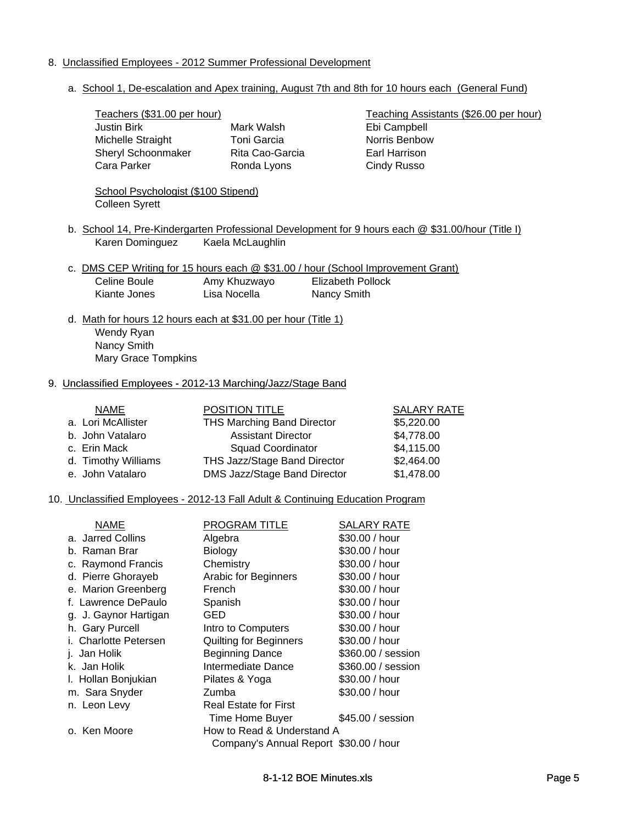## 8. Unclassified Employees - 2012 Summer Professional Development

a. School 1, De-escalation and Apex training, August 7th and 8th for 10 hours each (General Fund)

|  | Teachers (\$31.00 per hour)                                                                      |                                        |                          | Teaching Assistants (\$26.00 per hour)                                                            |
|--|--------------------------------------------------------------------------------------------------|----------------------------------------|--------------------------|---------------------------------------------------------------------------------------------------|
|  | <b>Justin Birk</b>                                                                               | Mark Walsh                             |                          | Ebi Campbell                                                                                      |
|  | Michelle Straight                                                                                | <b>Toni Garcia</b>                     |                          | Norris Benbow                                                                                     |
|  | Sheryl Schoonmaker                                                                               | Rita Cao-Garcia                        |                          | Earl Harrison                                                                                     |
|  | Cara Parker                                                                                      | Ronda Lyons                            |                          | <b>Cindy Russo</b>                                                                                |
|  | School Psychologist (\$100 Stipend)                                                              |                                        |                          |                                                                                                   |
|  | <b>Colleen Syrett</b>                                                                            |                                        |                          |                                                                                                   |
|  |                                                                                                  |                                        |                          | b. School 14, Pre-Kindergarten Professional Development for 9 hours each @ \$31.00/hour (Title I) |
|  | Karen Dominguez                                                                                  | Kaela McLaughlin                       |                          |                                                                                                   |
|  |                                                                                                  |                                        |                          |                                                                                                   |
|  | c. DMS CEP Writing for 15 hours each @ \$31.00 / hour (School Improvement Grant)<br>Celine Boule | Amy Khuzwayo                           | <b>Elizabeth Pollock</b> |                                                                                                   |
|  | Kiante Jones                                                                                     | Lisa Nocella                           |                          |                                                                                                   |
|  |                                                                                                  |                                        | Nancy Smith              |                                                                                                   |
|  | d. Math for hours 12 hours each at \$31.00 per hour (Title 1)                                    |                                        |                          |                                                                                                   |
|  | Wendy Ryan                                                                                       |                                        |                          |                                                                                                   |
|  | Nancy Smith                                                                                      |                                        |                          |                                                                                                   |
|  | Mary Grace Tompkins                                                                              |                                        |                          |                                                                                                   |
|  |                                                                                                  |                                        |                          |                                                                                                   |
|  | 9. Unclassified Employees - 2012-13 Marching/Jazz/Stage Band                                     |                                        |                          |                                                                                                   |
|  | <b>NAME</b>                                                                                      | <b>POSITION TITLE</b>                  |                          | <b>SALARY RATE</b>                                                                                |
|  | a. Lori McAllister                                                                               | <b>THS Marching Band Director</b>      |                          | \$5,220.00                                                                                        |
|  | b. John Vatalaro                                                                                 | <b>Assistant Director</b>              |                          | \$4,778.00                                                                                        |
|  | c. Erin Mack                                                                                     | <b>Squad Coordinator</b>               |                          | \$4,115.00                                                                                        |
|  | d. Timothy Williams                                                                              | THS Jazz/Stage Band Director           |                          | \$2,464.00                                                                                        |
|  | e. John Vatalaro                                                                                 | DMS Jazz/Stage Band Director           |                          | \$1,478.00                                                                                        |
|  |                                                                                                  |                                        |                          |                                                                                                   |
|  | 10. Unclassified Employees - 2012-13 Fall Adult & Continuing Education Program                   |                                        |                          |                                                                                                   |
|  | <b>NAME</b>                                                                                      | <b>PROGRAM TITLE</b>                   |                          | <b>SALARY RATE</b>                                                                                |
|  | a. Jarred Collins                                                                                | Algebra                                |                          | \$30.00 / hour                                                                                    |
|  | b. Raman Brar                                                                                    | <b>Biology</b>                         |                          | \$30.00 / hour                                                                                    |
|  | c. Raymond Francis                                                                               | Chemistry                              |                          | \$30.00 / hour                                                                                    |
|  | d. Pierre Ghorayeb                                                                               | Arabic for Beginners                   |                          | \$30.00 / hour                                                                                    |
|  | e. Marion Greenberg                                                                              | French                                 |                          | \$30.00 / hour                                                                                    |
|  | f. Lawrence DePaulo                                                                              | Spanish                                |                          | \$30.00 / hour                                                                                    |
|  | g. J. Gaynor Hartigan                                                                            | GED                                    |                          | \$30.00 / hour                                                                                    |
|  | h. Gary Purcell                                                                                  | Intro to Computers                     |                          | \$30.00 / hour                                                                                    |
|  | <b>Charlotte Petersen</b>                                                                        | <b>Quilting for Beginners</b>          |                          | \$30.00 / hour                                                                                    |
|  | Jan Holik                                                                                        | <b>Beginning Dance</b>                 |                          | \$360.00 / session                                                                                |
|  | k. Jan Holik                                                                                     | Intermediate Dance                     |                          | \$360.00 / session                                                                                |
|  | I. Hollan Bonjukian                                                                              | Pilates & Yoga                         |                          | \$30.00 / hour                                                                                    |
|  | m. Sara Snyder                                                                                   | Zumba                                  |                          | \$30.00 / hour                                                                                    |
|  | n. Leon Levy                                                                                     | <b>Real Estate for First</b>           |                          |                                                                                                   |
|  |                                                                                                  | Time Home Buyer                        |                          | \$45.00 / session                                                                                 |
|  | o. Ken Moore                                                                                     | How to Read & Understand A             |                          |                                                                                                   |
|  |                                                                                                  | Company's Annual Report \$30.00 / hour |                          |                                                                                                   |
|  |                                                                                                  |                                        |                          |                                                                                                   |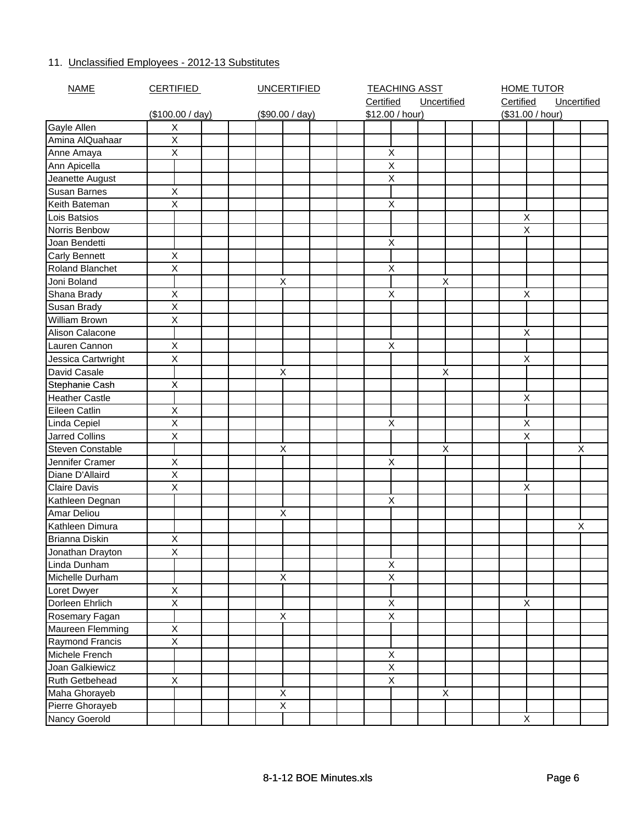## 11. Unclassified Employees - 2012-13 Substitutes

| <b>NAME</b>           | <b>CERTIFIED</b> | <b>UNCERTIFIED</b> |  |  | <b>TEACHING ASST</b> |  |             |  | <b>HOME TUTOR</b> |           |                  |             |   |
|-----------------------|------------------|--------------------|--|--|----------------------|--|-------------|--|-------------------|-----------|------------------|-------------|---|
|                       |                  |                    |  |  | Certified            |  | Uncertified |  |                   | Certified |                  | Uncertified |   |
|                       | (\$100.00 / day) | (\$90.00 / day)    |  |  | \$12.00 / hour)      |  |             |  |                   |           | (\$31.00 / hour) |             |   |
| Gayle Allen           | X                |                    |  |  |                      |  |             |  |                   |           |                  |             |   |
| Amina AlQuahaar       | $\overline{X}$   |                    |  |  |                      |  |             |  |                   |           |                  |             |   |
| Anne Amaya            | X                |                    |  |  | X                    |  |             |  |                   |           |                  |             |   |
| Ann Apicella          |                  |                    |  |  | Χ                    |  |             |  |                   |           |                  |             |   |
| Jeanette August       |                  |                    |  |  | Χ                    |  |             |  |                   |           |                  |             |   |
| Susan Barnes          | Χ                |                    |  |  |                      |  |             |  |                   |           |                  |             |   |
| Keith Bateman         | X                |                    |  |  | Χ                    |  |             |  |                   |           |                  |             |   |
| Lois Batsios          |                  |                    |  |  |                      |  |             |  |                   |           | Χ                |             |   |
| Norris Benbow         |                  |                    |  |  |                      |  |             |  |                   |           | X                |             |   |
| Joan Bendetti         |                  |                    |  |  | X                    |  |             |  |                   |           |                  |             |   |
| <b>Carly Bennett</b>  | Χ                |                    |  |  |                      |  |             |  |                   |           |                  |             |   |
| Roland Blanchet       | Χ                |                    |  |  | Χ                    |  |             |  |                   |           |                  |             |   |
| Joni Boland           |                  | $\mathsf X$        |  |  |                      |  | X           |  |                   |           |                  |             |   |
| Shana Brady           | X                |                    |  |  | Χ                    |  |             |  |                   |           | Χ                |             |   |
| Susan Brady           | X                |                    |  |  |                      |  |             |  |                   |           |                  |             |   |
| <b>William Brown</b>  | X                |                    |  |  |                      |  |             |  |                   |           |                  |             |   |
| Alison Calacone       |                  |                    |  |  |                      |  |             |  |                   |           | $\sf X$          |             |   |
| Lauren Cannon         | X                |                    |  |  | Χ                    |  |             |  |                   |           |                  |             |   |
| Jessica Cartwright    | X                |                    |  |  |                      |  |             |  |                   |           | X                |             |   |
| David Casale          |                  | $\mathsf X$        |  |  |                      |  | X           |  |                   |           |                  |             |   |
| Stephanie Cash        | X                |                    |  |  |                      |  |             |  |                   |           |                  |             |   |
| <b>Heather Castle</b> |                  |                    |  |  |                      |  |             |  |                   |           | Χ                |             |   |
| Eileen Catlin         | $\mathsf X$      |                    |  |  |                      |  |             |  |                   |           |                  |             |   |
| Linda Cepiel          | X                |                    |  |  | X                    |  |             |  |                   |           | X                |             |   |
| <b>Jarred Collins</b> | X                |                    |  |  |                      |  |             |  |                   |           | X                |             |   |
| Steven Constable      |                  | $\mathsf X$        |  |  |                      |  | X           |  |                   |           |                  |             | X |
| Jennifer Cramer       | X                |                    |  |  | X                    |  |             |  |                   |           |                  |             |   |
| Diane D'Allaird       | $\overline{X}$   |                    |  |  |                      |  |             |  |                   |           |                  |             |   |
| Claire Davis          | X                |                    |  |  |                      |  |             |  |                   |           | Χ                |             |   |
| Kathleen Degnan       |                  |                    |  |  | Χ                    |  |             |  |                   |           |                  |             |   |
| Amar Deliou           |                  | Χ                  |  |  |                      |  |             |  |                   |           |                  |             |   |
| Kathleen Dimura       |                  |                    |  |  |                      |  |             |  |                   |           |                  |             | X |
| <b>Brianna Diskin</b> | Χ                |                    |  |  |                      |  |             |  |                   |           |                  |             |   |
| Jonathan Drayton      | $\overline{X}$   |                    |  |  |                      |  |             |  |                   |           |                  |             |   |
| Linda Dunham          |                  |                    |  |  | Χ                    |  |             |  |                   |           |                  |             |   |
| Michelle Durham       |                  | X                  |  |  | X                    |  |             |  |                   |           |                  |             |   |
| Loret Dwyer           | $\mathsf X$      |                    |  |  |                      |  |             |  |                   |           |                  |             |   |
| Dorleen Ehrlich       | X                |                    |  |  | $\mathsf X$          |  |             |  |                   |           | Χ                |             |   |
| Rosemary Fagan        |                  | $\mathsf X$        |  |  | Χ                    |  |             |  |                   |           |                  |             |   |
| Maureen Flemming      | $\overline{X}$   |                    |  |  |                      |  |             |  |                   |           |                  |             |   |
| Raymond Francis       | Χ                |                    |  |  |                      |  |             |  |                   |           |                  |             |   |
| Michele French        |                  |                    |  |  | $\mathsf X$          |  |             |  |                   |           |                  |             |   |
| Joan Galkiewicz       |                  |                    |  |  | X                    |  |             |  |                   |           |                  |             |   |
| Ruth Getbehead        | X                |                    |  |  | X                    |  |             |  |                   |           |                  |             |   |
| Maha Ghorayeb         |                  | $\sf X$            |  |  |                      |  | Χ           |  |                   |           |                  |             |   |
| Pierre Ghorayeb       |                  | $\overline{X}$     |  |  |                      |  |             |  |                   |           |                  |             |   |
| Nancy Goerold         |                  |                    |  |  |                      |  |             |  |                   |           | Χ                |             |   |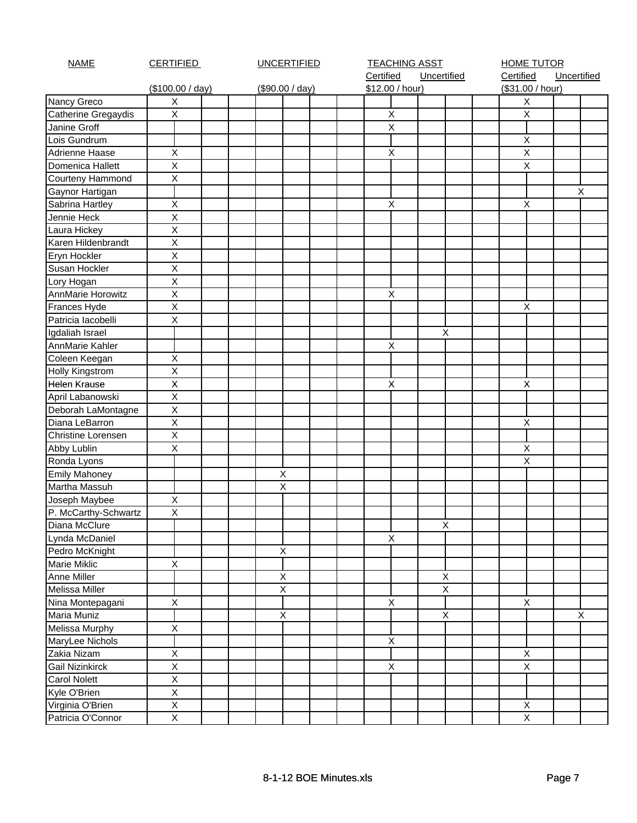| <b>NAME</b>            | <b>CERTIFIED</b>        | <b>UNCERTIFIED</b> |                 | <b>TEACHING ASST</b> |                          |  |   | <b>HOME TUTOR</b>         |           |                               |             |  |   |
|------------------------|-------------------------|--------------------|-----------------|----------------------|--------------------------|--|---|---------------------------|-----------|-------------------------------|-------------|--|---|
|                        |                         |                    |                 |                      | Certified<br>Uncertified |  |   |                           | Certified |                               | Uncertified |  |   |
|                        | (\$100.00 / day)        |                    | (\$90.00 / day) |                      | \$12.00 / hour)          |  |   |                           |           | (\$31.00 / hour)              |             |  |   |
| Nancy Greco            | X                       |                    |                 |                      |                          |  |   |                           |           | X                             |             |  |   |
| Catherine Gregaydis    | $\overline{X}$          |                    |                 |                      | X                        |  |   |                           |           | $\mathsf X$                   |             |  |   |
| Janine Groff           |                         |                    |                 |                      | X                        |  |   |                           |           |                               |             |  |   |
| Lois Gundrum           |                         |                    |                 |                      |                          |  |   |                           |           | X                             |             |  |   |
| Adrienne Haase         | $\sf X$                 |                    |                 |                      | X                        |  |   |                           |           | $\mathsf X$                   |             |  |   |
| Domenica Hallett       | X                       |                    |                 |                      |                          |  |   |                           |           | $\mathsf X$                   |             |  |   |
| Courteny Hammond       | X                       |                    |                 |                      |                          |  |   |                           |           |                               |             |  |   |
| Gaynor Hartigan        |                         |                    |                 |                      |                          |  |   |                           |           |                               |             |  | X |
| Sabrina Hartley        | $\mathsf X$             |                    |                 |                      | X                        |  |   |                           |           | $\pmb{\times}$                |             |  |   |
| Jennie Heck            | $\overline{X}$          |                    |                 |                      |                          |  |   |                           |           |                               |             |  |   |
| Laura Hickey           | X                       |                    |                 |                      |                          |  |   |                           |           |                               |             |  |   |
| Karen Hildenbrandt     | X                       |                    |                 |                      |                          |  |   |                           |           |                               |             |  |   |
| Eryn Hockler           | $\mathsf X$             |                    |                 |                      |                          |  |   |                           |           |                               |             |  |   |
| Susan Hockler          | $\overline{\mathsf{x}}$ |                    |                 |                      |                          |  |   |                           |           |                               |             |  |   |
| Lory Hogan             | $\sf X$                 |                    |                 |                      |                          |  |   |                           |           |                               |             |  |   |
| AnnMarie Horowitz      | $\mathsf X$             |                    |                 |                      | X                        |  |   |                           |           |                               |             |  |   |
| Frances Hyde           | $\sf X$                 |                    |                 |                      |                          |  |   |                           |           | $\mathsf X$                   |             |  |   |
| Patricia lacobelli     | $\sf X$                 |                    |                 |                      |                          |  |   |                           |           |                               |             |  |   |
| Igdaliah Israel        |                         |                    |                 |                      |                          |  | X |                           |           |                               |             |  |   |
| AnnMarie Kahler        |                         |                    |                 |                      | X                        |  |   |                           |           |                               |             |  |   |
| Coleen Keegan          | X                       |                    |                 |                      |                          |  |   |                           |           |                               |             |  |   |
| Holly Kingstrom        | $\sf X$                 |                    |                 |                      |                          |  |   |                           |           |                               |             |  |   |
| <b>Helen Krause</b>    | $\pmb{\mathsf{X}}$      |                    |                 |                      | $\pmb{\times}$           |  |   |                           |           | X                             |             |  |   |
| April Labanowski       | $\sf X$                 |                    |                 |                      |                          |  |   |                           |           |                               |             |  |   |
| Deborah LaMontagne     | $\overline{X}$          |                    |                 |                      |                          |  |   |                           |           |                               |             |  |   |
| Diana LeBarron         | $\overline{\mathsf{x}}$ |                    |                 |                      |                          |  |   |                           |           | $\mathsf X$                   |             |  |   |
| Christine Lorensen     | $\overline{X}$          |                    |                 |                      |                          |  |   |                           |           |                               |             |  |   |
| Abby Lublin            | Χ                       |                    |                 |                      |                          |  |   |                           |           | Χ                             |             |  |   |
| Ronda Lyons            |                         |                    |                 |                      |                          |  |   |                           |           | $\sf X$                       |             |  |   |
| <b>Emily Mahoney</b>   |                         |                    | Χ               |                      |                          |  |   |                           |           |                               |             |  |   |
| Martha Massuh          |                         |                    | $\overline{X}$  |                      |                          |  |   |                           |           |                               |             |  |   |
| Joseph Maybee          | Χ                       |                    |                 |                      |                          |  |   |                           |           |                               |             |  |   |
| P. McCarthy-Schwartz   | $\mathsf X$             |                    |                 |                      |                          |  |   |                           |           |                               |             |  |   |
| Diana McClure          |                         |                    |                 |                      |                          |  | X |                           |           |                               |             |  |   |
| Lynda McDaniel         |                         |                    |                 |                      | X                        |  |   |                           |           |                               |             |  |   |
| Pedro McKnight         |                         |                    | Χ               |                      |                          |  |   |                           |           |                               |             |  |   |
| Marie Miklic           | X                       |                    |                 |                      |                          |  |   |                           |           |                               |             |  |   |
| Anne Miller            |                         |                    | Χ               |                      |                          |  |   | $\boldsymbol{\mathsf{X}}$ |           |                               |             |  |   |
| Melissa Miller         |                         |                    | $\sf X$         |                      |                          |  |   | $\mathsf X$               |           |                               |             |  |   |
| Nina Montepagani       | Χ                       |                    |                 |                      | X                        |  |   |                           |           | X                             |             |  |   |
| <b>Maria Muniz</b>     |                         |                    | $\mathsf X$     |                      |                          |  |   | $\mathsf X$               |           |                               |             |  | X |
| Melissa Murphy         | X                       |                    |                 |                      |                          |  |   |                           |           |                               |             |  |   |
| MaryLee Nichols        |                         |                    |                 |                      | $\pmb{\times}$           |  |   |                           |           |                               |             |  |   |
| Zakia Nizam            | Χ                       |                    |                 |                      |                          |  |   |                           |           | $\mathsf X$                   |             |  |   |
| <b>Gail Nizinkirck</b> | $\overline{X}$          |                    |                 |                      | X                        |  |   |                           |           | $\sf X$                       |             |  |   |
| <b>Carol Nolett</b>    | $\overline{X}$          |                    |                 |                      |                          |  |   |                           |           |                               |             |  |   |
|                        | $\overline{X}$          |                    |                 |                      |                          |  |   |                           |           |                               |             |  |   |
| Kyle O'Brien           | $\overline{X}$          |                    |                 |                      |                          |  |   |                           |           |                               |             |  |   |
| Virginia O'Brien       | $\overline{X}$          |                    |                 |                      |                          |  |   |                           |           | $\mathsf X$<br>$\overline{X}$ |             |  |   |
| Patricia O'Connor      |                         |                    |                 |                      |                          |  |   |                           |           |                               |             |  |   |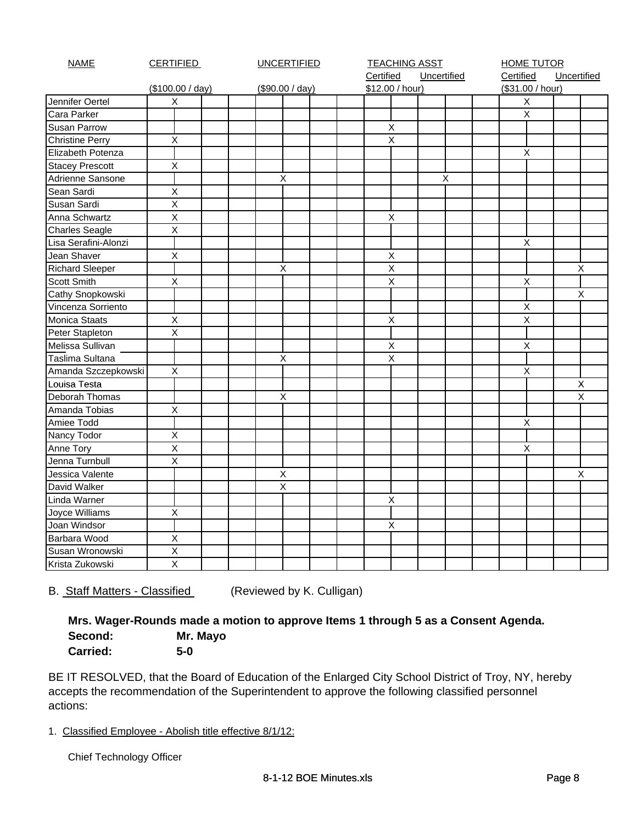| <b>NAME</b>            | <b>CERTIFIED</b> | <b>UNCERTIFIED</b> |                    | <b>TEACHING ASST</b> |           |                           | <b>HOME TUTOR</b> |  |                |                  |             |   |
|------------------------|------------------|--------------------|--------------------|----------------------|-----------|---------------------------|-------------------|--|----------------|------------------|-------------|---|
|                        |                  |                    |                    |                      | Certified |                           | Uncertified       |  | Certified      |                  | Uncertified |   |
|                        | (\$100.00 / day) |                    | (\$90.00 / day)    |                      |           | \$12.00 / hour)           |                   |  |                | (\$31.00 / hour) |             |   |
| Jennifer Oertel        | X                |                    |                    |                      |           |                           |                   |  |                | $\pmb{\times}$   |             |   |
| Cara Parker            |                  |                    |                    |                      |           |                           |                   |  | $\overline{X}$ |                  |             |   |
| <b>Susan Parrow</b>    |                  |                    |                    |                      |           | $\mathsf X$               |                   |  |                |                  |             |   |
| <b>Christine Perry</b> | $\mathsf X$      |                    |                    |                      |           | $\boldsymbol{\mathsf{X}}$ |                   |  |                |                  |             |   |
| Elizabeth Potenza      |                  |                    |                    |                      |           |                           |                   |  | X              |                  |             |   |
| <b>Stacey Prescott</b> | X                |                    |                    |                      |           |                           |                   |  |                |                  |             |   |
| Adrienne Sansone       |                  |                    | X                  |                      |           |                           | X                 |  |                |                  |             |   |
| Sean Sardi             | $\mathsf X$      |                    |                    |                      |           |                           |                   |  |                |                  |             |   |
| Susan Sardi            | $\sf X$          |                    |                    |                      |           |                           |                   |  |                |                  |             |   |
| Anna Schwartz          | $\mathsf X$      |                    |                    |                      |           | $\mathsf X$               |                   |  |                |                  |             |   |
| <b>Charles Seagle</b>  | $\overline{X}$   |                    |                    |                      |           |                           |                   |  |                |                  |             |   |
| Lisa Serafini-Alonzi   |                  |                    |                    |                      |           |                           |                   |  | X              |                  |             |   |
| Jean Shaver            | $\mathsf X$      |                    |                    |                      |           | $\mathsf X$               |                   |  |                |                  |             |   |
| <b>Richard Sleeper</b> |                  |                    | $\mathsf X$        |                      |           | $\sf X$                   |                   |  |                |                  |             | X |
| <b>Scott Smith</b>     | X                |                    |                    |                      |           | $\overline{X}$            |                   |  | $\pmb{\times}$ |                  |             |   |
| Cathy Snopkowski       |                  |                    |                    |                      |           |                           |                   |  |                |                  |             | X |
| Vincenza Sorriento     |                  |                    |                    |                      |           |                           |                   |  |                | X                |             |   |
| <b>Monica Staats</b>   | $\mathsf X$      |                    |                    |                      |           | $\sf X$                   |                   |  | $\sf X$        |                  |             |   |
| Peter Stapleton        | X                |                    |                    |                      |           |                           |                   |  |                |                  |             |   |
| Melissa Sullivan       |                  |                    |                    |                      |           | $\pmb{\times}$            |                   |  | $\pmb{\times}$ |                  |             |   |
| Taslima Sultana        |                  |                    | $\mathsf X$        |                      |           | $\mathsf X$               |                   |  |                |                  |             |   |
| Amanda Szczepkowski    | $\mathsf X$      |                    |                    |                      |           |                           |                   |  | X              |                  |             |   |
| Louisa Testa           |                  |                    |                    |                      |           |                           |                   |  |                |                  |             | X |
| Deborah Thomas         |                  |                    | $\pmb{\mathsf{X}}$ |                      |           |                           |                   |  |                |                  |             | X |
| Amanda Tobias          | Χ                |                    |                    |                      |           |                           |                   |  |                |                  |             |   |
| Amiee Todd             |                  |                    |                    |                      |           |                           |                   |  | X              |                  |             |   |
| Nancy Todor            | $\sf X$          |                    |                    |                      |           |                           |                   |  |                |                  |             |   |
| Anne Tory              | X                |                    |                    |                      |           |                           |                   |  |                | X                |             |   |
| Jenna Turnbull         | $\overline{X}$   |                    |                    |                      |           |                           |                   |  |                |                  |             |   |
| Jessica Valente        |                  |                    | Χ                  |                      |           |                           |                   |  |                |                  |             | X |
| David Walker           |                  |                    | $\pmb{\mathsf{X}}$ |                      |           |                           |                   |  |                |                  |             |   |
| Linda Warner           |                  |                    |                    |                      |           | $\sf X$                   |                   |  |                |                  |             |   |
| Joyce Williams         | X                |                    |                    |                      |           |                           |                   |  |                |                  |             |   |
| Joan Windsor           |                  |                    |                    |                      |           | $\pmb{\times}$            |                   |  |                |                  |             |   |
| Barbara Wood           | $\sf X$          |                    |                    |                      |           |                           |                   |  |                |                  |             |   |
| Susan Wronowski        | $\sf X$          |                    |                    |                      |           |                           |                   |  |                |                  |             |   |
| Krista Zukowski        | $\sf X$          |                    |                    |                      |           |                           |                   |  |                |                  |             |   |

B. Staff Matters - Classified (Reviewed by K. Culligan)

## **Mrs. Wager-Rounds made a motion to approve Items 1 through 5 as a Consent Agenda. Second: Mr. Mayo Carried: 5-0**

BE IT RESOLVED, that the Board of Education of the Enlarged City School District of Troy, NY, hereby accepts the recommendation of the Superintendent to approve the following classified personnel actions:

1. Classified Employee - Abolish title effective 8/1/12:

Chief Technology Officer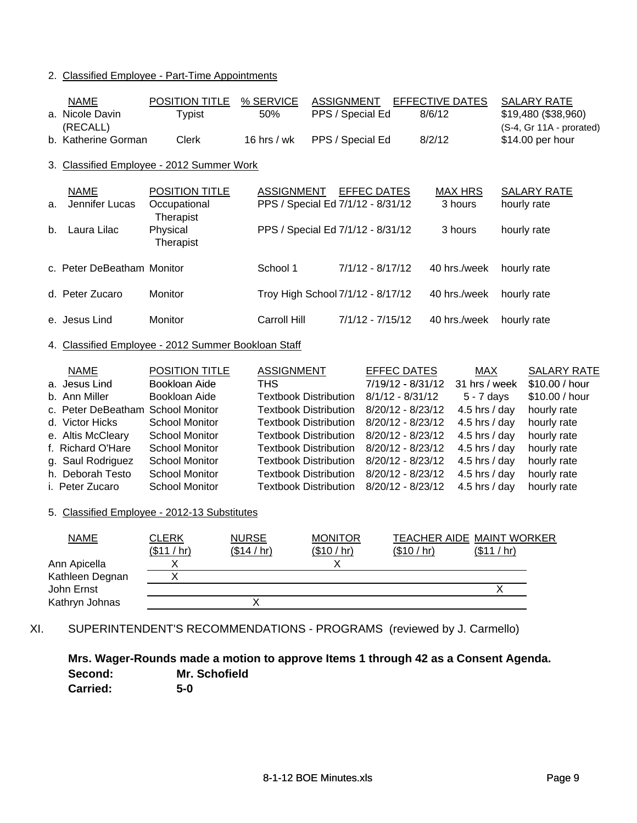### 2. Classified Employee - Part-Time Appointments

| <b>NAME</b><br>a. Nicole Davin<br>(RECALL)          | POSITION TITLE<br><b>Typist</b>                                       | % SERVICE<br>50%             | <b>ASSIGNMENT</b><br>PPS / Special Ed |                    | EFFECTIVE DATES<br>8/6/12 |                           | <b>SALARY RATE</b><br>\$19,480 (\$38,960)<br>(S-4, Gr 11A - prorated) |
|-----------------------------------------------------|-----------------------------------------------------------------------|------------------------------|---------------------------------------|--------------------|---------------------------|---------------------------|-----------------------------------------------------------------------|
| b. Katherine Gorman                                 | Clerk                                                                 | 16 hrs / wk                  | PPS / Special Ed                      |                    | 8/2/12                    |                           | \$14.00 per hour                                                      |
| 3. Classified Employee - 2012 Summer Work           |                                                                       |                              |                                       |                    |                           |                           |                                                                       |
| <b>NAME</b><br>Jennifer Lucas<br>a.                 | <b>POSITION TITLE</b><br>Occupational<br>Therapist                    | <b>ASSIGNMENT</b>            | PPS / Special Ed 7/1/12 - 8/31/12     | <b>EFFEC DATES</b> |                           | <b>MAX HRS</b><br>3 hours | <b>SALARY RATE</b><br>hourly rate                                     |
| Laura Lilac<br>b.                                   | Physical<br>Therapist                                                 |                              | PPS / Special Ed 7/1/12 - 8/31/12     |                    |                           | 3 hours                   | hourly rate                                                           |
| c. Peter DeBeatham Monitor                          |                                                                       | School 1                     |                                       | $7/1/12 - 8/17/12$ |                           | 40 hrs./week              | hourly rate                                                           |
| d. Peter Zucaro                                     | Monitor                                                               |                              | Troy High School 7/1/12 - 8/17/12     |                    |                           | 40 hrs./week              | hourly rate                                                           |
| e. Jesus Lind                                       | Monitor                                                               | <b>Carroll Hill</b>          |                                       | $7/1/12 - 7/15/12$ |                           | 40 hrs./week              | hourly rate                                                           |
| 4. Classified Employee - 2012 Summer Bookloan Staff |                                                                       |                              |                                       |                    |                           |                           |                                                                       |
| <b>NAME</b>                                         | <b>POSITION TITLE</b>                                                 | <b>ASSIGNMENT</b>            |                                       | <b>EFFEC DATES</b> |                           | <b>MAX</b>                | <b>SALARY RATE</b>                                                    |
| a. Jesus Lind                                       | Bookloan Aide                                                         | <b>THS</b>                   |                                       |                    | 7/19/12 - 8/31/12         | 31 hrs / week             | \$10.00 / hour                                                        |
| b. Ann Miller                                       | Bookloan Aide                                                         | <b>Textbook Distribution</b> |                                       | $8/1/12 - 8/31/12$ |                           | 5 - 7 days                | \$10.00 / hour                                                        |
| c. Peter DeBeatham School Monitor                   |                                                                       | <b>Textbook Distribution</b> |                                       |                    | 8/20/12 - 8/23/12         | 4.5 hrs / day             | hourly rate                                                           |
| d. Victor Hicks                                     | <b>School Monitor</b>                                                 | <b>Textbook Distribution</b> |                                       |                    | 8/20/12 - 8/23/12         | 4.5 hrs / day             | hourly rate                                                           |
| e. Altis McCleary                                   | <b>School Monitor</b>                                                 | <b>Textbook Distribution</b> |                                       |                    | 8/20/12 - 8/23/12         | 4.5 hrs / day             | hourly rate                                                           |
| f. Richard O'Hare                                   | <b>School Monitor</b>                                                 | <b>Textbook Distribution</b> |                                       |                    | 8/20/12 - 8/23/12         | 4.5 hrs / day             | hourly rate                                                           |
| g. Saul Rodriguez                                   | <b>School Monitor</b>                                                 | <b>Textbook Distribution</b> |                                       |                    | 8/20/12 - 8/23/12         | 4.5 hrs / day             | hourly rate                                                           |
| h. Deborah Testo                                    | <b>School Monitor</b>                                                 | <b>Textbook Distribution</b> |                                       |                    | 8/20/12 - 8/23/12         | 4.5 hrs / day             | hourly rate                                                           |
| i. Peter Zucaro                                     | <b>School Monitor</b>                                                 | <b>Textbook Distribution</b> |                                       |                    | 8/20/12 - 8/23/12         | 4.5 hrs / day             | hourly rate                                                           |
| 5. Classified Employee - 2012-13 Substitutes        |                                                                       |                              |                                       |                    |                           |                           |                                                                       |
| <b>NAME</b>                                         | <b>CLERK</b>                                                          | <b>NURSE</b>                 | <b>MONITOR</b>                        |                    |                           |                           | TEACHER AIDE MAINT WORKER                                             |
|                                                     | (\$11 / hr)                                                           | (\$14 / hr)                  | (\$10 / hr)                           |                    | (\$10 / hr)               | (\$11 / hr)               |                                                                       |
| Ann Apicella                                        | Χ                                                                     |                              | X                                     |                    |                           |                           |                                                                       |
| Kathleen Degnan                                     | $\overline{\mathsf{x}}$                                               |                              |                                       |                    |                           |                           |                                                                       |
| John Ernst                                          |                                                                       |                              |                                       |                    |                           |                           | X                                                                     |
| Kathryn Johnas                                      |                                                                       | X                            |                                       |                    |                           |                           |                                                                       |
| XI.                                                 | SUPERINTENDENT'S RECOMMENDATIONS - PROGRAMS (reviewed by J. Carmello) |                              |                                       |                    |                           |                           |                                                                       |

**Mrs. Wager-Rounds made a motion to approve Items 1 through 42 as a Consent Agenda. Second: Mr. Schofield**

**Carried: 5-0**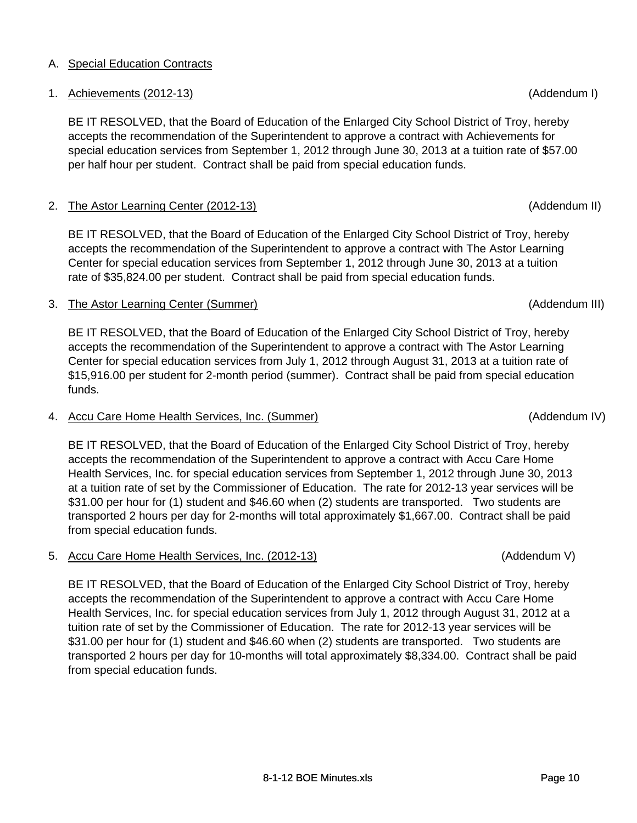#### accepts the recommendation of the Superintendent to approve a contract with The Astor Learning Center for special education services from September 1, 2012 through June 30, 2013 at a tuition

## 3. The Astor Learning Center (Summer) (Addendum III)

BE IT RESOLVED, that the Board of Education of the Enlarged City School District of Troy, hereby accepts the recommendation of the Superintendent to approve a contract with The Astor Learning Center for special education services from July 1, 2012 through August 31, 2013 at a tuition rate of \$15,916.00 per student for 2-month period (summer). Contract shall be paid from special education funds.

BE IT RESOLVED, that the Board of Education of the Enlarged City School District of Troy, hereby

## 4. Accu Care Home Health Services, Inc. (Summer) (Addendum IV)

BE IT RESOLVED, that the Board of Education of the Enlarged City School District of Troy, hereby accepts the recommendation of the Superintendent to approve a contract with Accu Care Home Health Services, Inc. for special education services from September 1, 2012 through June 30, 2013 at a tuition rate of set by the Commissioner of Education. The rate for 2012-13 year services will be \$31.00 per hour for (1) student and \$46.60 when (2) students are transported. Two students are transported 2 hours per day for 2-months will total approximately \$1,667.00. Contract shall be paid from special education funds.

## 5. Accu Care Home Health Services, Inc. (2012-13) (Addendum V)

BE IT RESOLVED, that the Board of Education of the Enlarged City School District of Troy, hereby accepts the recommendation of the Superintendent to approve a contract with Accu Care Home Health Services, Inc. for special education services from July 1, 2012 through August 31, 2012 at a tuition rate of set by the Commissioner of Education. The rate for 2012-13 year services will be \$31.00 per hour for (1) student and \$46.60 when (2) students are transported. Two students are transported 2 hours per day for 10-months will total approximately \$8,334.00. Contract shall be paid from special education funds.

1. Achievements (2012-13) (Addendum I)

BE IT RESOLVED, that the Board of Education of the Enlarged City School District of Troy, hereby accepts the recommendation of the Superintendent to approve a contract with Achievements for special education services from September 1, 2012 through June 30, 2013 at a tuition rate of \$57.00

per half hour per student. Contract shall be paid from special education funds.

rate of \$35,824.00 per student. Contract shall be paid from special education funds.

## A. Special Education Contracts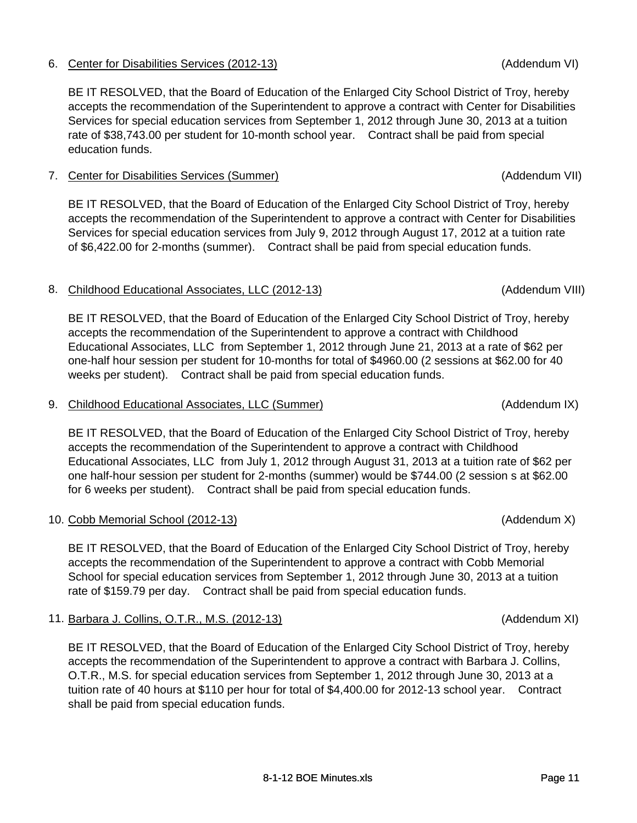## 6. Center for Disabilities Services (2012-13) (Addendum VI)

BE IT RESOLVED, that the Board of Education of the Enlarged City School District of Troy, hereby accepts the recommendation of the Superintendent to approve a contract with Center for Disabilities Services for special education services from September 1, 2012 through June 30, 2013 at a tuition rate of \$38,743.00 per student for 10-month school year. Contract shall be paid from special education funds.

## 7. Center for Disabilities Services (Summer) (Addendum VII)

BE IT RESOLVED, that the Board of Education of the Enlarged City School District of Troy, hereby accepts the recommendation of the Superintendent to approve a contract with Center for Disabilities Services for special education services from July 9, 2012 through August 17, 2012 at a tuition rate of \$6,422.00 for 2-months (summer). Contract shall be paid from special education funds.

## 8. Childhood Educational Associates, LLC (2012-13) (Addendum VIII)

BE IT RESOLVED, that the Board of Education of the Enlarged City School District of Troy, hereby accepts the recommendation of the Superintendent to approve a contract with Childhood Educational Associates, LLC from September 1, 2012 through June 21, 2013 at a rate of \$62 per one-half hour session per student for 10-months for total of \$4960.00 (2 sessions at \$62.00 for 40 weeks per student). Contract shall be paid from special education funds.

### 9. Childhood Educational Associates, LLC (Summer) (Addendum IX)

BE IT RESOLVED, that the Board of Education of the Enlarged City School District of Troy, hereby accepts the recommendation of the Superintendent to approve a contract with Childhood Educational Associates, LLC from July 1, 2012 through August 31, 2013 at a tuition rate of \$62 per one half-hour session per student for 2-months (summer) would be \$744.00 (2 session s at \$62.00 for 6 weeks per student). Contract shall be paid from special education funds.

### 10. Cobb Memorial School (2012-13) (Addendum X)

BE IT RESOLVED, that the Board of Education of the Enlarged City School District of Troy, hereby accepts the recommendation of the Superintendent to approve a contract with Cobb Memorial School for special education services from September 1, 2012 through June 30, 2013 at a tuition rate of \$159.79 per day. Contract shall be paid from special education funds.

## 11. Barbara J. Collins, O.T.R., M.S. (2012-13) (Addendum XI)

BE IT RESOLVED, that the Board of Education of the Enlarged City School District of Troy, hereby accepts the recommendation of the Superintendent to approve a contract with Barbara J. Collins, O.T.R., M.S. for special education services from September 1, 2012 through June 30, 2013 at a tuition rate of 40 hours at \$110 per hour for total of \$4,400.00 for 2012-13 school year. Contract shall be paid from special education funds.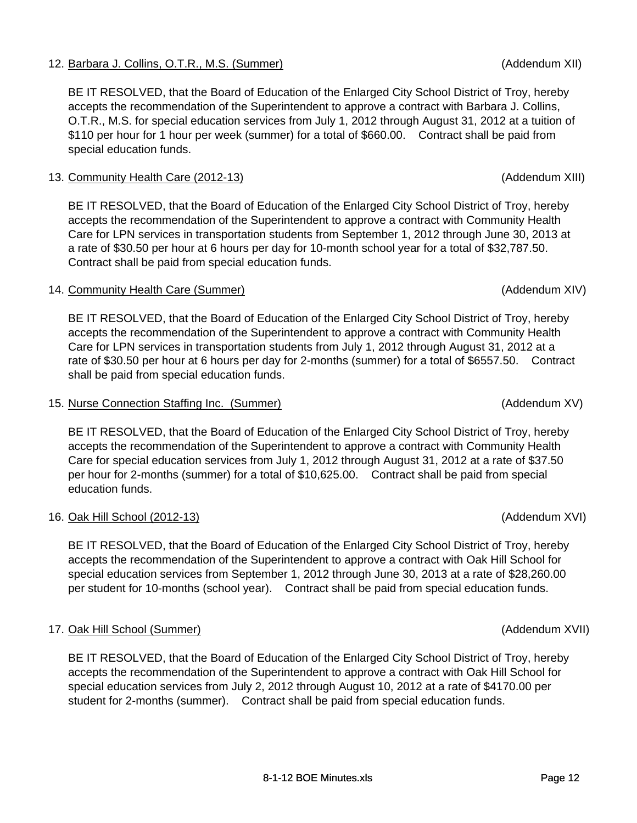## 12. Barbara J. Collins, O.T.R., M.S. (Summer) (Addendum XII)

BE IT RESOLVED, that the Board of Education of the Enlarged City School District of Troy, hereby accepts the recommendation of the Superintendent to approve a contract with Barbara J. Collins, O.T.R., M.S. for special education services from July 1, 2012 through August 31, 2012 at a tuition of \$110 per hour for 1 hour per week (summer) for a total of \$660.00. Contract shall be paid from special education funds.

### 13. Community Health Care (2012-13) (Addendum XIII)

BE IT RESOLVED, that the Board of Education of the Enlarged City School District of Troy, hereby accepts the recommendation of the Superintendent to approve a contract with Community Health Care for LPN services in transportation students from September 1, 2012 through June 30, 2013 at a rate of \$30.50 per hour at 6 hours per day for 10-month school year for a total of \$32,787.50. Contract shall be paid from special education funds.

### 14. Community Health Care (Summer) (Addendum XIV) (Addendum XIV)

BE IT RESOLVED, that the Board of Education of the Enlarged City School District of Troy, hereby accepts the recommendation of the Superintendent to approve a contract with Community Health Care for LPN services in transportation students from July 1, 2012 through August 31, 2012 at a rate of \$30.50 per hour at 6 hours per day for 2-months (summer) for a total of \$6557.50. Contract shall be paid from special education funds.

#### 15. Nurse Connection Staffing Inc. (Summer) (Addendum XV)

BE IT RESOLVED, that the Board of Education of the Enlarged City School District of Troy, hereby accepts the recommendation of the Superintendent to approve a contract with Community Health Care for special education services from July 1, 2012 through August 31, 2012 at a rate of \$37.50 per hour for 2-months (summer) for a total of \$10,625.00. Contract shall be paid from special education funds.

### 16. Oak Hill School (2012-13) (Addendum XVI)

BE IT RESOLVED, that the Board of Education of the Enlarged City School District of Troy, hereby accepts the recommendation of the Superintendent to approve a contract with Oak Hill School for special education services from September 1, 2012 through June 30, 2013 at a rate of \$28,260.00 per student for 10-months (school year). Contract shall be paid from special education funds.

### 17. Oak Hill School (Summer) (Addendum XVII)

BE IT RESOLVED, that the Board of Education of the Enlarged City School District of Troy, hereby accepts the recommendation of the Superintendent to approve a contract with Oak Hill School for special education services from July 2, 2012 through August 10, 2012 at a rate of \$4170.00 per student for 2-months (summer). Contract shall be paid from special education funds.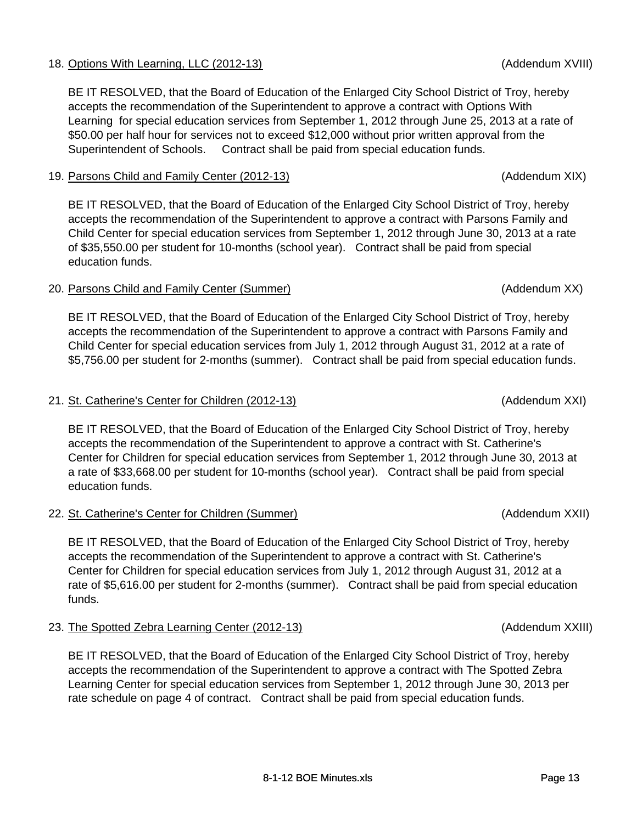## 18. Options With Learning, LLC (2012-13) (Addendum XVIII)

BE IT RESOLVED, that the Board of Education of the Enlarged City School District of Troy, hereby accepts the recommendation of the Superintendent to approve a contract with Options With Learning for special education services from September 1, 2012 through June 25, 2013 at a rate of \$50.00 per half hour for services not to exceed \$12,000 without prior written approval from the Superintendent of Schools. Contract shall be paid from special education funds.

## 19. Parsons Child and Family Center (2012-13) (Addendum XIX)

BE IT RESOLVED, that the Board of Education of the Enlarged City School District of Troy, hereby accepts the recommendation of the Superintendent to approve a contract with Parsons Family and Child Center for special education services from September 1, 2012 through June 30, 2013 at a rate of \$35,550.00 per student for 10-months (school year). Contract shall be paid from special education funds.

## 20. Parsons Child and Family Center (Summer) (Addendum XX)

BE IT RESOLVED, that the Board of Education of the Enlarged City School District of Troy, hereby accepts the recommendation of the Superintendent to approve a contract with Parsons Family and Child Center for special education services from July 1, 2012 through August 31, 2012 at a rate of \$5,756.00 per student for 2-months (summer). Contract shall be paid from special education funds.

## 21. St. Catherine's Center for Children (2012-13) (Addendum XXI)

BE IT RESOLVED, that the Board of Education of the Enlarged City School District of Troy, hereby accepts the recommendation of the Superintendent to approve a contract with St. Catherine's Center for Children for special education services from September 1, 2012 through June 30, 2013 at a rate of \$33,668.00 per student for 10-months (school year). Contract shall be paid from special education funds.

22. St. Catherine's Center for Children (Summer) (Addendum XXII)

BE IT RESOLVED, that the Board of Education of the Enlarged City School District of Troy, hereby accepts the recommendation of the Superintendent to approve a contract with St. Catherine's Center for Children for special education services from July 1, 2012 through August 31, 2012 at a rate of \$5,616.00 per student for 2-months (summer). Contract shall be paid from special education funds.

23. The Spotted Zebra Learning Center (2012-13) (Addendum XXIII)

BE IT RESOLVED, that the Board of Education of the Enlarged City School District of Troy, hereby accepts the recommendation of the Superintendent to approve a contract with The Spotted Zebra Learning Center for special education services from September 1, 2012 through June 30, 2013 per rate schedule on page 4 of contract. Contract shall be paid from special education funds.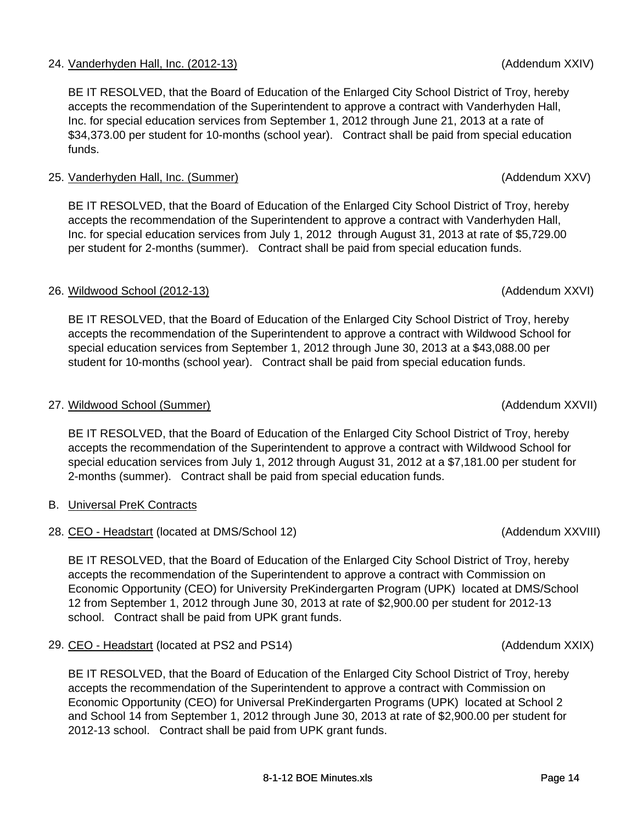## 24. Vanderhyden Hall, Inc. (2012-13) (Addendum XXIV)

BE IT RESOLVED, that the Board of Education of the Enlarged City School District of Troy, hereby accepts the recommendation of the Superintendent to approve a contract with Vanderhyden Hall, Inc. for special education services from September 1, 2012 through June 21, 2013 at a rate of \$34,373.00 per student for 10-months (school year). Contract shall be paid from special education funds.

#### 25. Vanderhyden Hall, Inc. (Summer) (Addendum XXV)

BE IT RESOLVED, that the Board of Education of the Enlarged City School District of Troy, hereby accepts the recommendation of the Superintendent to approve a contract with Vanderhyden Hall, Inc. for special education services from July 1, 2012 through August 31, 2013 at rate of \$5,729.00 per student for 2-months (summer). Contract shall be paid from special education funds.

### 26. Wildwood School (2012-13) (Addendum XXVI)

BE IT RESOLVED, that the Board of Education of the Enlarged City School District of Troy, hereby accepts the recommendation of the Superintendent to approve a contract with Wildwood School for special education services from September 1, 2012 through June 30, 2013 at a \$43,088.00 per student for 10-months (school year). Contract shall be paid from special education funds.

#### 27. Wildwood School (Summer) and the state of the state of the state of the state of the state of the state of the state of the state of the state of the state of the state of the state of the state of the state of the sta

BE IT RESOLVED, that the Board of Education of the Enlarged City School District of Troy, hereby accepts the recommendation of the Superintendent to approve a contract with Wildwood School for special education services from July 1, 2012 through August 31, 2012 at a \$7,181.00 per student for 2-months (summer). Contract shall be paid from special education funds.

- B. Universal PreK Contracts
- 28. CEO Headstart (located at DMS/School 12) (Addendum XXVIII)

BE IT RESOLVED, that the Board of Education of the Enlarged City School District of Troy, hereby accepts the recommendation of the Superintendent to approve a contract with Commission on Economic Opportunity (CEO) for University PreKindergarten Program (UPK) located at DMS/School 12 from September 1, 2012 through June 30, 2013 at rate of \$2,900.00 per student for 2012-13 school. Contract shall be paid from UPK grant funds.

29. CEO - Headstart (located at PS2 and PS14) (Addendum XXIX)

BE IT RESOLVED, that the Board of Education of the Enlarged City School District of Troy, hereby accepts the recommendation of the Superintendent to approve a contract with Commission on Economic Opportunity (CEO) for Universal PreKindergarten Programs (UPK) located at School 2 and School 14 from September 1, 2012 through June 30, 2013 at rate of \$2,900.00 per student for 2012-13 school. Contract shall be paid from UPK grant funds.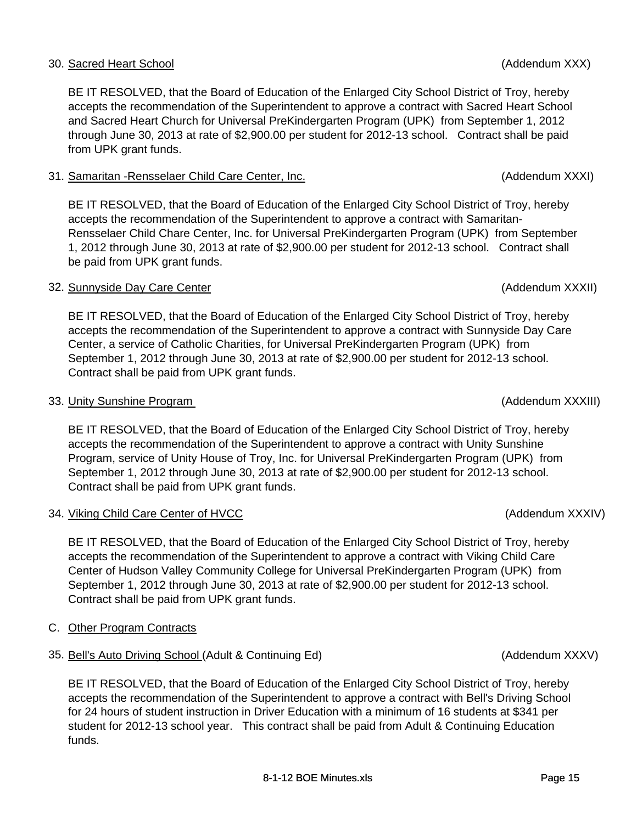## 30. Sacred Heart School (Addendum XXX)

BE IT RESOLVED, that the Board of Education of the Enlarged City School District of Troy, hereby accepts the recommendation of the Superintendent to approve a contract with Sacred Heart School and Sacred Heart Church for Universal PreKindergarten Program (UPK) from September 1, 2012 through June 30, 2013 at rate of \$2,900.00 per student for 2012-13 school. Contract shall be paid from UPK grant funds.

### 31. Samaritan -Rensselaer Child Care Center, Inc. (Addendum XXXI)

BE IT RESOLVED, that the Board of Education of the Enlarged City School District of Troy, hereby accepts the recommendation of the Superintendent to approve a contract with Samaritan-Rensselaer Child Chare Center, Inc. for Universal PreKindergarten Program (UPK) from September 1, 2012 through June 30, 2013 at rate of \$2,900.00 per student for 2012-13 school. Contract shall be paid from UPK grant funds.

### 32. Sunnyside Day Care Center (Addendum XXXII)

BE IT RESOLVED, that the Board of Education of the Enlarged City School District of Troy, hereby accepts the recommendation of the Superintendent to approve a contract with Sunnyside Day Care Center, a service of Catholic Charities, for Universal PreKindergarten Program (UPK) from September 1, 2012 through June 30, 2013 at rate of \$2,900.00 per student for 2012-13 school. Contract shall be paid from UPK grant funds.

## 33. Unity Sunshine Program (Addendum XXXIII)

BE IT RESOLVED, that the Board of Education of the Enlarged City School District of Troy, hereby accepts the recommendation of the Superintendent to approve a contract with Unity Sunshine Program, service of Unity House of Troy, Inc. for Universal PreKindergarten Program (UPK) from September 1, 2012 through June 30, 2013 at rate of \$2,900.00 per student for 2012-13 school. Contract shall be paid from UPK grant funds.

## 34. Viking Child Care Center of HVCC

BE IT RESOLVED, that the Board of Education of the Enlarged City School District of Troy, hereby accepts the recommendation of the Superintendent to approve a contract with Viking Child Care Center of Hudson Valley Community College for Universal PreKindergarten Program (UPK) from September 1, 2012 through June 30, 2013 at rate of \$2,900.00 per student for 2012-13 school. Contract shall be paid from UPK grant funds.

- C. Other Program Contracts
- 35. Bell's Auto Driving School (Adult & Continuing Ed) (Andrew More and Addendum XXXV)

BE IT RESOLVED, that the Board of Education of the Enlarged City School District of Troy, hereby accepts the recommendation of the Superintendent to approve a contract with Bell's Driving School for 24 hours of student instruction in Driver Education with a minimum of 16 students at \$341 per student for 2012-13 school year. This contract shall be paid from Adult & Continuing Education funds.

(Addendum XXXIV)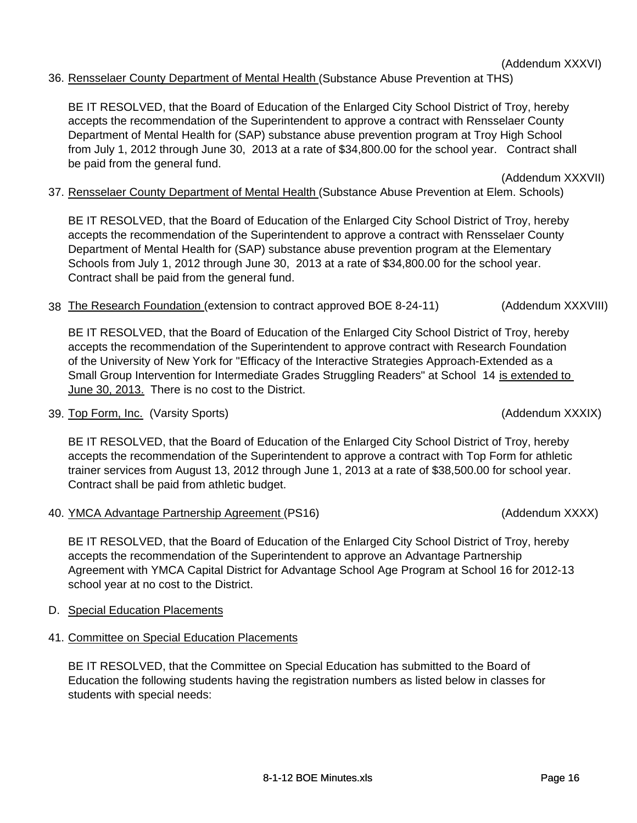## 36. Rensselaer County Department of Mental Health (Substance Abuse Prevention at THS)

BE IT RESOLVED, that the Board of Education of the Enlarged City School District of Troy, hereby accepts the recommendation of the Superintendent to approve a contract with Rensselaer County Department of Mental Health for (SAP) substance abuse prevention program at Troy High School from July 1, 2012 through June 30, 2013 at a rate of \$34,800.00 for the school year. Contract shall be paid from the general fund.

37. Rensselaer County Department of Mental Health (Substance Abuse Prevention at Elem. Schools)

BE IT RESOLVED, that the Board of Education of the Enlarged City School District of Troy, hereby accepts the recommendation of the Superintendent to approve a contract with Rensselaer County Department of Mental Health for (SAP) substance abuse prevention program at the Elementary Schools from July 1, 2012 through June 30, 2013 at a rate of \$34,800.00 for the school year. Contract shall be paid from the general fund.

38 The Research Foundation (extension to contract approved BOE 8-24-11) (Addendum XXXVIII)

BE IT RESOLVED, that the Board of Education of the Enlarged City School District of Troy, hereby accepts the recommendation of the Superintendent to approve contract with Research Foundation of the University of New York for "Efficacy of the Interactive Strategies Approach-Extended as a Small Group Intervention for Intermediate Grades Struggling Readers" at School 14 is extended to June 30, 2013. There is no cost to the District.

39. Top Form, Inc. (Varsity Sports) (Addendum XXXIX)

BE IT RESOLVED, that the Board of Education of the Enlarged City School District of Troy, hereby accepts the recommendation of the Superintendent to approve a contract with Top Form for athletic trainer services from August 13, 2012 through June 1, 2013 at a rate of \$38,500.00 for school year. Contract shall be paid from athletic budget.

40. YMCA Advantage Partnership Agreement (PS16) (Addendum XXXX)

BE IT RESOLVED, that the Board of Education of the Enlarged City School District of Troy, hereby accepts the recommendation of the Superintendent to approve an Advantage Partnership Agreement with YMCA Capital District for Advantage School Age Program at School 16 for 2012-13 school year at no cost to the District.

- D. Special Education Placements
- 41. Committee on Special Education Placements

BE IT RESOLVED, that the Committee on Special Education has submitted to the Board of Education the following students having the registration numbers as listed below in classes for students with special needs:

(Addendum XXXVII)

(Addendum XXXVI)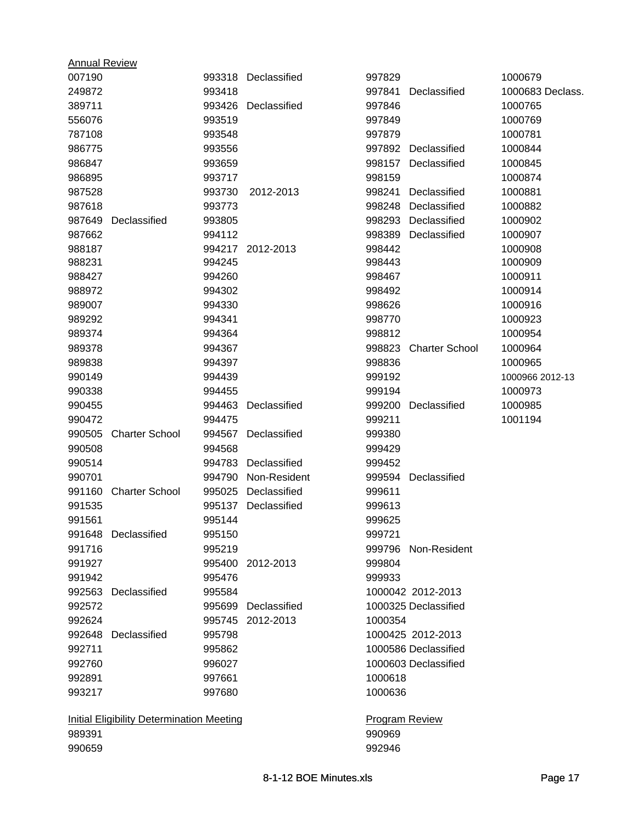| <b>Annual Review</b> |                                           |        |                     |                       |                       |                  |
|----------------------|-------------------------------------------|--------|---------------------|-----------------------|-----------------------|------------------|
| 007190               |                                           |        | 993318 Declassified | 997829                |                       | 1000679          |
| 249872               |                                           | 993418 |                     | 997841                | Declassified          | 1000683 Declass. |
| 389711               |                                           | 993426 | Declassified        | 997846                |                       | 1000765          |
| 556076               |                                           | 993519 |                     | 997849                |                       | 1000769          |
| 787108               |                                           | 993548 |                     | 997879                |                       | 1000781          |
| 986775               |                                           | 993556 |                     |                       | 997892 Declassified   | 1000844          |
| 986847               |                                           | 993659 |                     |                       | 998157 Declassified   | 1000845          |
| 986895               |                                           | 993717 |                     | 998159                |                       | 1000874          |
| 987528               |                                           | 993730 | 2012-2013           | 998241                | Declassified          | 1000881          |
| 987618               |                                           | 993773 |                     |                       | 998248 Declassified   | 1000882          |
| 987649               | Declassified                              | 993805 |                     |                       | 998293 Declassified   | 1000902          |
| 987662               |                                           | 994112 |                     |                       | 998389 Declassified   | 1000907          |
| 988187               |                                           | 994217 | 2012-2013           | 998442                |                       | 1000908          |
| 988231               |                                           | 994245 |                     | 998443                |                       | 1000909          |
| 988427               |                                           | 994260 |                     | 998467                |                       | 1000911          |
| 988972               |                                           | 994302 |                     | 998492                |                       | 1000914          |
| 989007               |                                           | 994330 |                     | 998626                |                       | 1000916          |
| 989292               |                                           | 994341 |                     | 998770                |                       | 1000923          |
| 989374               |                                           | 994364 |                     | 998812                |                       | 1000954          |
| 989378               |                                           | 994367 |                     | 998823                | <b>Charter School</b> | 1000964          |
| 989838               |                                           | 994397 |                     | 998836                |                       | 1000965          |
| 990149               |                                           | 994439 |                     | 999192                |                       | 1000966 2012-13  |
| 990338               |                                           | 994455 |                     | 999194                |                       | 1000973          |
| 990455               |                                           | 994463 | Declassified        | 999200                | Declassified          | 1000985          |
| 990472               |                                           | 994475 |                     | 999211                |                       | 1001194          |
| 990505               | <b>Charter School</b>                     | 994567 | Declassified        | 999380                |                       |                  |
| 990508               |                                           | 994568 |                     | 999429                |                       |                  |
| 990514               |                                           | 994783 | Declassified        | 999452                |                       |                  |
| 990701               |                                           | 994790 | Non-Resident        |                       | 999594 Declassified   |                  |
| 991160               | <b>Charter School</b>                     | 995025 | Declassified        | 999611                |                       |                  |
| 991535               |                                           | 995137 | Declassified        | 999613                |                       |                  |
| 991561               |                                           | 995144 |                     | 999625                |                       |                  |
|                      | 991648 Declassified                       | 995150 |                     | 999721                |                       |                  |
| 991716               |                                           | 995219 |                     |                       | 999796 Non-Resident   |                  |
| 991927               |                                           | 995400 | 2012-2013           | 999804                |                       |                  |
| 991942               |                                           | 995476 |                     | 999933                |                       |                  |
|                      | 992563 Declassified                       | 995584 |                     |                       | 1000042 2012-2013     |                  |
| 992572               |                                           |        | 995699 Declassified |                       | 1000325 Declassified  |                  |
| 992624               |                                           |        | 995745 2012-2013    | 1000354               |                       |                  |
|                      | 992648 Declassified                       | 995798 |                     |                       | 1000425 2012-2013     |                  |
| 992711               |                                           | 995862 |                     |                       | 1000586 Declassified  |                  |
| 992760               |                                           | 996027 |                     |                       | 1000603 Declassified  |                  |
| 992891               |                                           | 997661 |                     | 1000618               |                       |                  |
| 993217               |                                           | 997680 |                     | 1000636               |                       |                  |
|                      | Initial Eligibility Determination Meeting |        |                     | <b>Program Review</b> |                       |                  |
| 989391               |                                           |        |                     | 990969                |                       |                  |
| 990659               |                                           |        |                     | 992946                |                       |                  |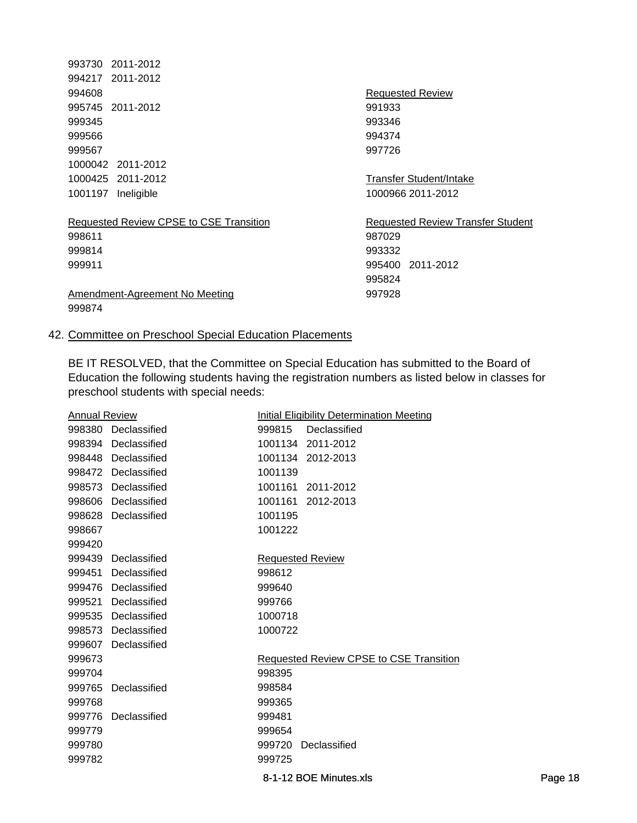| 993730 2011-2012                        |                                          |
|-----------------------------------------|------------------------------------------|
| 994217 2011-2012                        |                                          |
| 994608                                  | Requested Review                         |
| 995745 2011-2012                        | 991933                                   |
| 999345                                  | 993346                                   |
| 999566                                  | 994374                                   |
| 999567                                  | 997726                                   |
| 1000042 2011-2012                       |                                          |
| 1000425 2011-2012                       | Transfer Student/Intake                  |
| 1001197 Ineligible                      | 1000966 2011-2012                        |
| Requested Review CPSE to CSE Transition | <b>Requested Review Transfer Student</b> |
| 998611                                  | 987029                                   |
| 999814                                  | 993332                                   |
| 999911                                  | 995400 2011-2012                         |
|                                         | 995824                                   |
| Amendment-Agreement No Meeting          | 997928                                   |
| 999874                                  |                                          |
|                                         |                                          |

## 42. Committee on Preschool Special Education Placements

BE IT RESOLVED, that the Committee on Special Education has submitted to the Board of Education the following students having the registration numbers as listed below in classes for preschool students with special needs:

| <b>Annual Review</b> |                     |                         | Initial Eligibility Determination Meeting |
|----------------------|---------------------|-------------------------|-------------------------------------------|
| 998380               | Declassified        | 999815                  | Declassified                              |
|                      | 998394 Declassified |                         | 1001134 2011-2012                         |
|                      | 998448 Declassified |                         | 1001134 2012-2013                         |
|                      | 998472 Declassified | 1001139                 |                                           |
| 998573               | Declassified        | 1001161                 | 2011-2012                                 |
| 998606               | Declassified        | 1001161                 | 2012-2013                                 |
| 998628               | Declassified        | 1001195                 |                                           |
| 998667               |                     | 1001222                 |                                           |
| 999420               |                     |                         |                                           |
|                      | 999439 Declassified | <b>Requested Review</b> |                                           |
| 999451               | Declassified        | 998612                  |                                           |
|                      | 999476 Declassified | 999640                  |                                           |
| 999521               | Declassified        | 999766                  |                                           |
|                      | 999535 Declassified | 1000718                 |                                           |
| 998573               | Declassified        | 1000722                 |                                           |
| 999607               | Declassified        |                         |                                           |
| 999673               |                     |                         | Requested Review CPSE to CSE Transition   |
| 999704               |                     | 998395                  |                                           |
| 999765               | Declassified        | 998584                  |                                           |
| 999768               |                     | 999365                  |                                           |
|                      | 999776 Declassified | 999481                  |                                           |
| 999779               |                     | 999654                  |                                           |
| 999780               |                     |                         | 999720 Declassified                       |
| 999782               |                     | 999725                  |                                           |
|                      |                     |                         |                                           |

8-1-12 BOE Minutes.xls example and page 18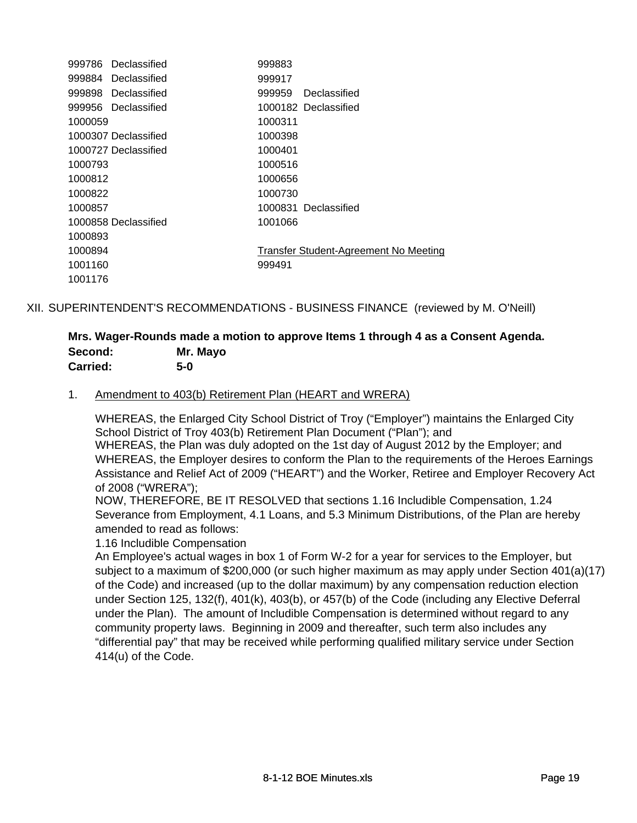|         | 999786 Declassified  | 999883  |                                       |
|---------|----------------------|---------|---------------------------------------|
|         | 999884 Declassified  | 999917  |                                       |
|         | 999898 Declassified  | 999959  | Declassified                          |
|         | 999956 Declassified  |         | 1000182 Declassified                  |
| 1000059 |                      | 1000311 |                                       |
|         | 1000307 Declassified | 1000398 |                                       |
|         | 1000727 Declassified | 1000401 |                                       |
| 1000793 |                      | 1000516 |                                       |
| 1000812 |                      | 1000656 |                                       |
| 1000822 |                      | 1000730 |                                       |
| 1000857 |                      |         | 1000831 Declassified                  |
|         | 1000858 Declassified | 1001066 |                                       |
| 1000893 |                      |         |                                       |
| 1000894 |                      |         | Transfer Student-Agreement No Meeting |
| 1001160 |                      | 999491  |                                       |
| 1001176 |                      |         |                                       |

XII. SUPERINTENDENT'S RECOMMENDATIONS - BUSINESS FINANCE (reviewed by M. O'Neill)

### **Mrs. Wager-Rounds made a motion to approve Items 1 through 4 as a Consent Agenda. Second: Mr. Mayo Carried: 5-0**

### 1. Amendment to 403(b) Retirement Plan (HEART and WRERA)

WHEREAS, the Enlarged City School District of Troy ("Employer") maintains the Enlarged City School District of Troy 403(b) Retirement Plan Document ("Plan"); and WHEREAS, the Plan was duly adopted on the 1st day of August 2012 by the Employer; and WHEREAS, the Employer desires to conform the Plan to the requirements of the Heroes Earnings Assistance and Relief Act of 2009 ("HEART") and the Worker, Retiree and Employer Recovery Act of 2008 ("WRERA");

NOW, THEREFORE, BE IT RESOLVED that sections 1.16 Includible Compensation, 1.24 Severance from Employment, 4.1 Loans, and 5.3 Minimum Distributions, of the Plan are hereby amended to read as follows:

1.16 Includible Compensation

An Employee's actual wages in box 1 of Form W-2 for a year for services to the Employer, but subject to a maximum of \$200,000 (or such higher maximum as may apply under Section 401(a)(17) of the Code) and increased (up to the dollar maximum) by any compensation reduction election under Section 125, 132(f), 401(k), 403(b), or 457(b) of the Code (including any Elective Deferral under the Plan). The amount of Includible Compensation is determined without regard to any community property laws. Beginning in 2009 and thereafter, such term also includes any "differential pay" that may be received while performing qualified military service under Section 414(u) of the Code.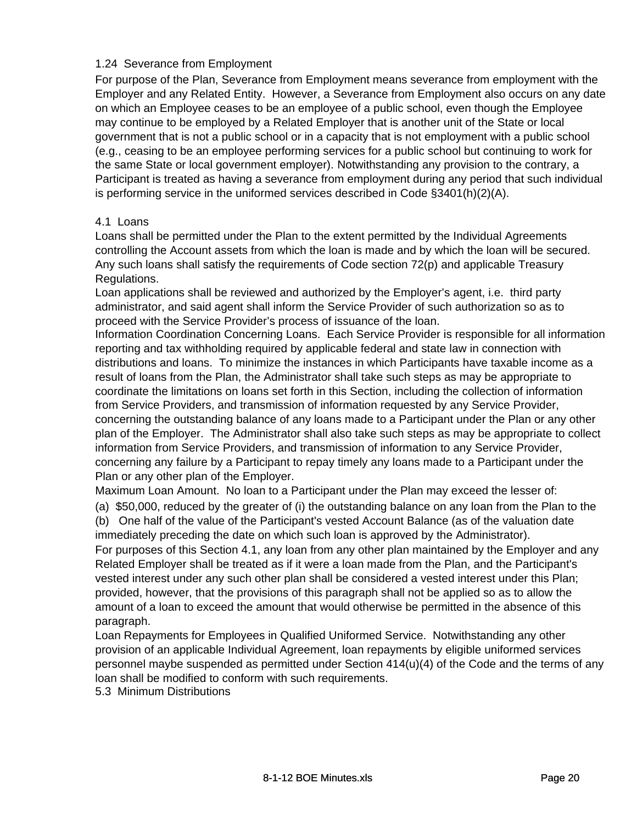#### 1.24 Severance from Employment

For purpose of the Plan, Severance from Employment means severance from employment with the Employer and any Related Entity. However, a Severance from Employment also occurs on any date on which an Employee ceases to be an employee of a public school, even though the Employee may continue to be employed by a Related Employer that is another unit of the State or local government that is not a public school or in a capacity that is not employment with a public school (e.g., ceasing to be an employee performing services for a public school but continuing to work for the same State or local government employer). Notwithstanding any provision to the contrary, a Participant is treated as having a severance from employment during any period that such individual is performing service in the uniformed services described in Code §3401(h)(2)(A).

#### 4.1 Loans

Loans shall be permitted under the Plan to the extent permitted by the Individual Agreements controlling the Account assets from which the loan is made and by which the loan will be secured. Any such loans shall satisfy the requirements of Code section 72(p) and applicable Treasury Regulations.

Loan applications shall be reviewed and authorized by the Employer's agent, i.e. third party administrator, and said agent shall inform the Service Provider of such authorization so as to proceed with the Service Provider's process of issuance of the loan.

Information Coordination Concerning Loans. Each Service Provider is responsible for all information reporting and tax withholding required by applicable federal and state law in connection with distributions and loans. To minimize the instances in which Participants have taxable income as a result of loans from the Plan, the Administrator shall take such steps as may be appropriate to coordinate the limitations on loans set forth in this Section, including the collection of information from Service Providers, and transmission of information requested by any Service Provider, concerning the outstanding balance of any loans made to a Participant under the Plan or any other plan of the Employer. The Administrator shall also take such steps as may be appropriate to collect information from Service Providers, and transmission of information to any Service Provider, concerning any failure by a Participant to repay timely any loans made to a Participant under the Plan or any other plan of the Employer.

Maximum Loan Amount. No loan to a Participant under the Plan may exceed the lesser of:

(a) \$50,000, reduced by the greater of (i) the outstanding balance on any loan from the Plan to the (b) One half of the value of the Participant's vested Account Balance (as of the valuation date

immediately preceding the date on which such loan is approved by the Administrator).

For purposes of this Section 4.1, any loan from any other plan maintained by the Employer and any Related Employer shall be treated as if it were a loan made from the Plan, and the Participant's vested interest under any such other plan shall be considered a vested interest under this Plan; provided, however, that the provisions of this paragraph shall not be applied so as to allow the amount of a loan to exceed the amount that would otherwise be permitted in the absence of this paragraph.

Loan Repayments for Employees in Qualified Uniformed Service. Notwithstanding any other provision of an applicable Individual Agreement, loan repayments by eligible uniformed services personnel maybe suspended as permitted under Section 414(u)(4) of the Code and the terms of any loan shall be modified to conform with such requirements.

5.3 Minimum Distributions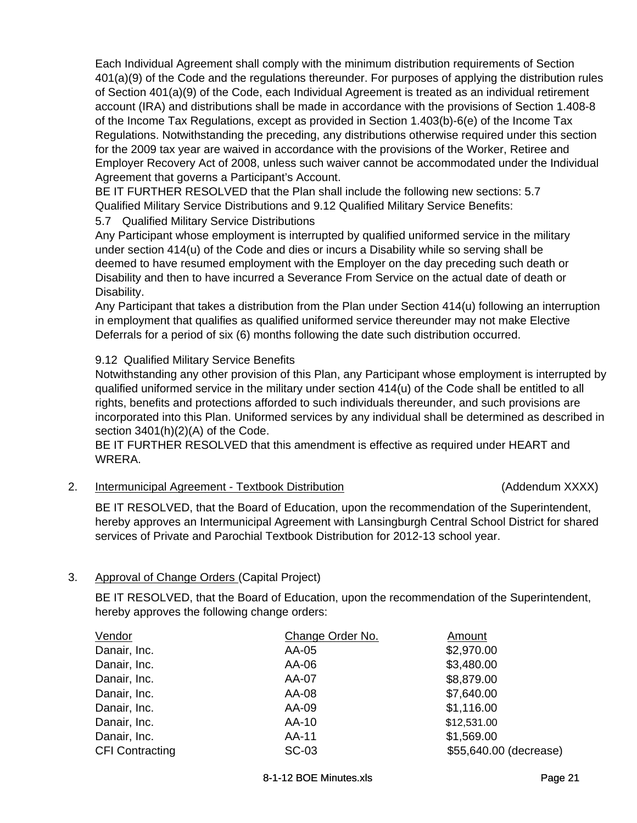Each Individual Agreement shall comply with the minimum distribution requirements of Section 401(a)(9) of the Code and the regulations thereunder. For purposes of applying the distribution rules of Section 401(a)(9) of the Code, each Individual Agreement is treated as an individual retirement account (IRA) and distributions shall be made in accordance with the provisions of Section 1.408-8 of the Income Tax Regulations, except as provided in Section 1.403(b)-6(e) of the Income Tax Regulations. Notwithstanding the preceding, any distributions otherwise required under this section for the 2009 tax year are waived in accordance with the provisions of the Worker, Retiree and Employer Recovery Act of 2008, unless such waiver cannot be accommodated under the Individual Agreement that governs a Participant's Account.

BE IT FURTHER RESOLVED that the Plan shall include the following new sections: 5.7 Qualified Military Service Distributions and 9.12 Qualified Military Service Benefits:

5.7 Qualified Military Service Distributions

Any Participant whose employment is interrupted by qualified uniformed service in the military under section 414(u) of the Code and dies or incurs a Disability while so serving shall be deemed to have resumed employment with the Employer on the day preceding such death or Disability and then to have incurred a Severance From Service on the actual date of death or Disability.

Any Participant that takes a distribution from the Plan under Section 414(u) following an interruption in employment that qualifies as qualified uniformed service thereunder may not make Elective Deferrals for a period of six (6) months following the date such distribution occurred.

### 9.12 Qualified Military Service Benefits

Notwithstanding any other provision of this Plan, any Participant whose employment is interrupted by qualified uniformed service in the military under section 414(u) of the Code shall be entitled to all rights, benefits and protections afforded to such individuals thereunder, and such provisions are incorporated into this Plan. Uniformed services by any individual shall be determined as described in section 3401(h)(2)(A) of the Code.

BE IT FURTHER RESOLVED that this amendment is effective as required under HEART and WRERA.

2. Intermunicipal Agreement - Textbook Distribution (Addendum XXXX)

BE IT RESOLVED, that the Board of Education, upon the recommendation of the Superintendent, hereby approves an Intermunicipal Agreement with Lansingburgh Central School District for shared services of Private and Parochial Textbook Distribution for 2012-13 school year.

### 3. Approval of Change Orders (Capital Project)

BE IT RESOLVED, that the Board of Education, upon the recommendation of the Superintendent, hereby approves the following change orders:

| Vendor                 | Change Order No. | Amount                 |
|------------------------|------------------|------------------------|
| Danair, Inc.           | AA-05            | \$2,970.00             |
| Danair, Inc.           | AA-06            | \$3,480.00             |
| Danair, Inc.           | AA-07            | \$8,879.00             |
| Danair, Inc.           | AA-08            | \$7,640.00             |
| Danair, Inc.           | AA-09            | \$1,116.00             |
| Danair, Inc.           | AA-10            | \$12,531.00            |
| Danair, Inc.           | AA-11            | \$1,569.00             |
| <b>CFI Contracting</b> | <b>SC-03</b>     | \$55,640.00 (decrease) |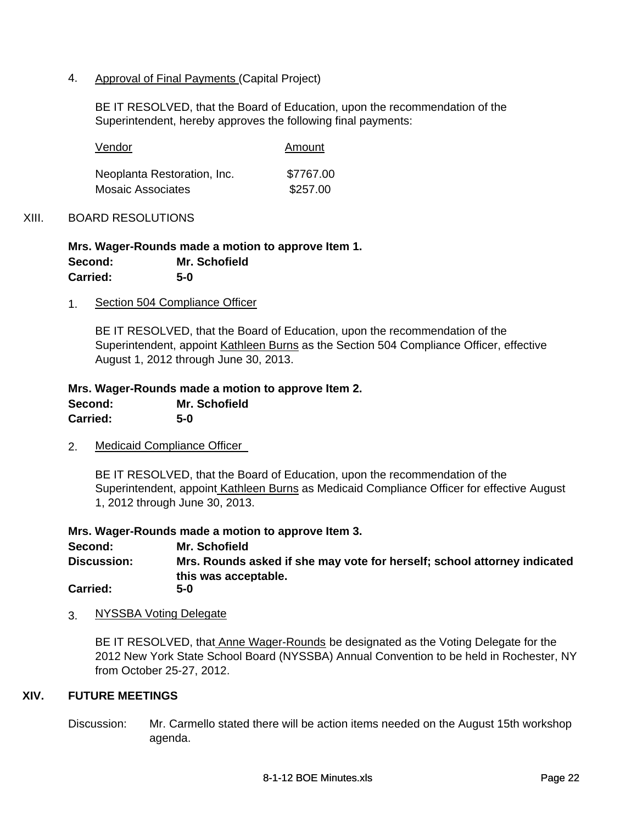### 4. Approval of Final Payments (Capital Project)

BE IT RESOLVED, that the Board of Education, upon the recommendation of the Superintendent, hereby approves the following final payments:

| Vendor                      | Amount    |
|-----------------------------|-----------|
| Neoplanta Restoration, Inc. | \$7767.00 |
| <b>Mosaic Associates</b>    | \$257.00  |

### XIII. BOARD RESOLUTIONS

**Mrs. Wager-Rounds made a motion to approve Item 1. Carried: 5-0 Second: Mr. Schofield**

1. Section 504 Compliance Officer

BE IT RESOLVED, that the Board of Education, upon the recommendation of the Superintendent, appoint Kathleen Burns as the Section 504 Compliance Officer, effective August 1, 2012 through June 30, 2013.

**Mrs. Wager-Rounds made a motion to approve Item 2.** 

| Second:         | Mr. Schofield |
|-----------------|---------------|
| <b>Carried:</b> | $5-0$         |

2. Medicaid Compliance Officer

BE IT RESOLVED, that the Board of Education, upon the recommendation of the Superintendent, appoint Kathleen Burns as Medicaid Compliance Officer for effective August 1, 2012 through June 30, 2013.

**Mrs. Wager-Rounds made a motion to approve Item 3.**

**Mrs. Rounds asked if she may vote for herself; school attorney indicated this was acceptable. Discussion: Second: Mr. Schofield Carried: 5-0**

3. NYSSBA Voting Delegate

BE IT RESOLVED, that Anne Wager-Rounds be designated as the Voting Delegate for the 2012 New York State School Board (NYSSBA) Annual Convention to be held in Rochester, NY from October 25-27, 2012.

### **XIV. FUTURE MEETINGS**

Discussion: Mr. Carmello stated there will be action items needed on the August 15th workshop agenda.